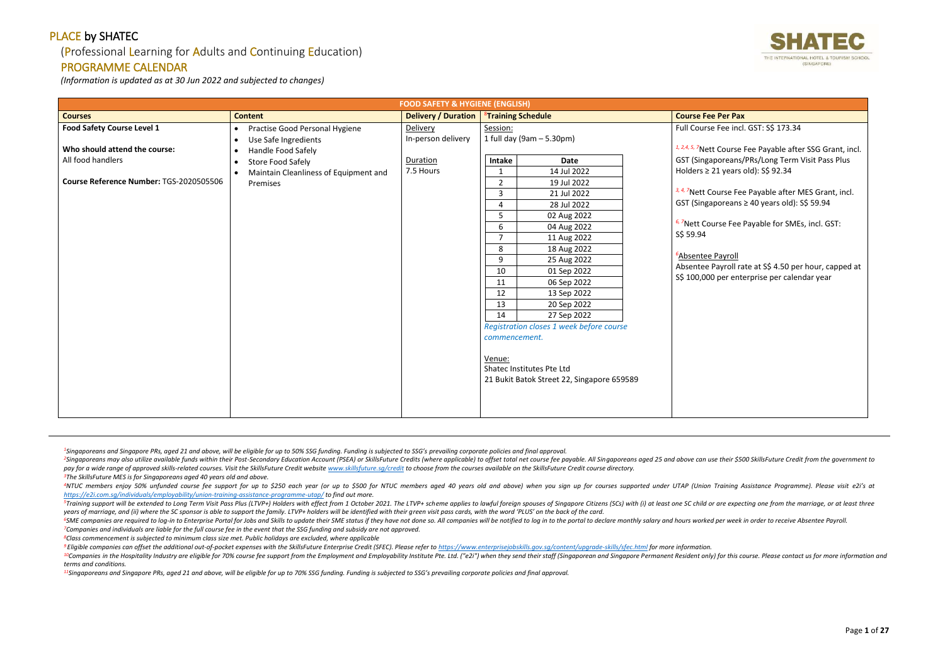## (Professional Learning for Adults and Continuing Education)

## PROGRAMME CALENDAR

*(Information is updated as at 30 Jun 2022 and subjected to changes)*

<sup>2</sup>Singaporeans may also utilize available funds within their Post-Secondary Education Account (PSEA) or SkillsFuture Credits (where applicable) to offset total net course fee payable. All Singaporeans aged 25 and above ca pay for a wide range of approved skills-related courses. Visit the SkillsFuture Credit website www.skillsfuture.sa/credit to choose from the courses available on the SkillsFuture Credit course directory. *<sup>3</sup>The SkillsFuture MES is for Singaporeans aged 40 years old and above.*

<sup>4</sup>NTUC members enjoy 50% unfunded course fee support for up to \$250 each year (or up to \$500 for NTUC members aged 40 years old and above) when you sign up for courses supported under UTAP (Union Training Assistance Progr *<https://e2i.com.sg/individuals/employability/union-training-assistance-programme-utap/> to find out more.* 

<sup>5</sup>Training support will be extended to Long Term Visit Pass Plus (LTVP+) Holders with effect from 1 October 2021. The LTVP+ scheme applies to lawful foreign spouses of Singapore Citizens (SCs) with (i) at least one SC chi *years of marriage, and (ii) where the SC sponsor is able to support the family. LTVP+ holders will be identified with their green visit pass cards, with the word 'PLUS' on the back of the card.*

<sup>6</sup>SME companies are required to log-in to Enterprise Portal for Jobs and Skills to update their SME status if they have not done so. All companies will be notified to log in to the portal to declare monthly salary and hou *<sup>7</sup>Companies and individuals are liable for the full course fee in the event that the SSG funding and subsidy are not approved.*

<sup>9</sup> Eligible companies can offset the additional out-of-pocket expenses with the SkillsFuture Enterprise Credit (SFEC). Please refer to https://www.enterpriseiobskills.gov.sa/content/uparade-skills/sfec.html for more infor <sup>10</sup>Companies in the Hospitality Industry are eligible for 70% course fee support from the Employment and Employability Institute Pte. Ltd. ("e2i") when they send their staff (Singaporean and Singapore Permanent Resident o *terms and conditions.*

*<sup>8</sup>Class commencement is subjected to minimum class size met. Public holidays are excluded, where applicable*

*<sup>11</sup>Singaporeans and Singapore PRs, aged 21 and above, will be eligible for up to 70% SSG funding. Funding is subjected to SSG's prevailing corporate policies and final approval.*



| <b>FOOD SAFETY &amp; HYGIENE (ENGLISH)</b>                         |                                                                                                                     |                                |                                                                                                                                                                                                                                                                                                                                                                                                                                                                                    |                                                                                                                                                                                                                                                                                                                                                                                                                                             |  |  |  |
|--------------------------------------------------------------------|---------------------------------------------------------------------------------------------------------------------|--------------------------------|------------------------------------------------------------------------------------------------------------------------------------------------------------------------------------------------------------------------------------------------------------------------------------------------------------------------------------------------------------------------------------------------------------------------------------------------------------------------------------|---------------------------------------------------------------------------------------------------------------------------------------------------------------------------------------------------------------------------------------------------------------------------------------------------------------------------------------------------------------------------------------------------------------------------------------------|--|--|--|
| <b>Courses</b>                                                     | <b>Content</b>                                                                                                      | <b>Delivery / Duration</b>     | <sup>8</sup> Training Schedule                                                                                                                                                                                                                                                                                                                                                                                                                                                     | <b>Course Fee Per Pax</b>                                                                                                                                                                                                                                                                                                                                                                                                                   |  |  |  |
| <b>Food Safety Course Level 1</b><br>Who should attend the course: | Practise Good Personal Hygiene<br>$\bullet$<br>Use Safe Ingredients<br>$\bullet$<br>Handle Food Safely<br>$\bullet$ | Delivery<br>In-person delivery | Session:<br>1 full day (9am - 5.30pm)                                                                                                                                                                                                                                                                                                                                                                                                                                              | Full Course Fee incl. GST: S\$ 173.34<br><sup>1, 2,4, 5, 7</sup> Nett Course Fee Payable after SSG Grant, incl.                                                                                                                                                                                                                                                                                                                             |  |  |  |
| All food handlers<br>Course Reference Number: TGS-2020505506       | Store Food Safely<br>$\bullet$<br>Maintain Cleanliness of Equipment and<br>$\bullet$<br>Premises                    | Duration<br>7.5 Hours          | Intake<br>Date<br>14 Jul 2022<br>19 Jul 2022<br>$\overline{2}$<br>3<br>21 Jul 2022<br>28 Jul 2022<br>4<br>02 Aug 2022<br>5<br>6<br>04 Aug 2022<br>$\overline{7}$<br>11 Aug 2022<br>8<br>18 Aug 2022<br>9<br>25 Aug 2022<br>10<br>01 Sep 2022<br>06 Sep 2022<br>11<br>12<br>13 Sep 2022<br>13<br>20 Sep 2022<br>14<br>27 Sep 2022<br>Registration closes 1 week before course<br>commencement.<br>Venue:<br>Shatec Institutes Pte Ltd<br>21 Bukit Batok Street 22, Singapore 659589 | GST (Singaporeans/PRs/Long Term Visit Pass Plus<br>Holders $\geq$ 21 years old): S\$ 92.34<br><sup>3, 4, 7</sup> Nett Course Fee Payable after MES Grant, incl.<br>GST (Singaporeans $\geq$ 40 years old): S\$ 59.94<br><sup>6, 7</sup> Nett Course Fee Payable for SMEs, incl. GST:<br>S\$ 59.94<br><sup>6</sup> Absentee Payroll<br>Absentee Payroll rate at S\$ 4.50 per hour, capped at<br>S\$ 100,000 per enterprise per calendar year |  |  |  |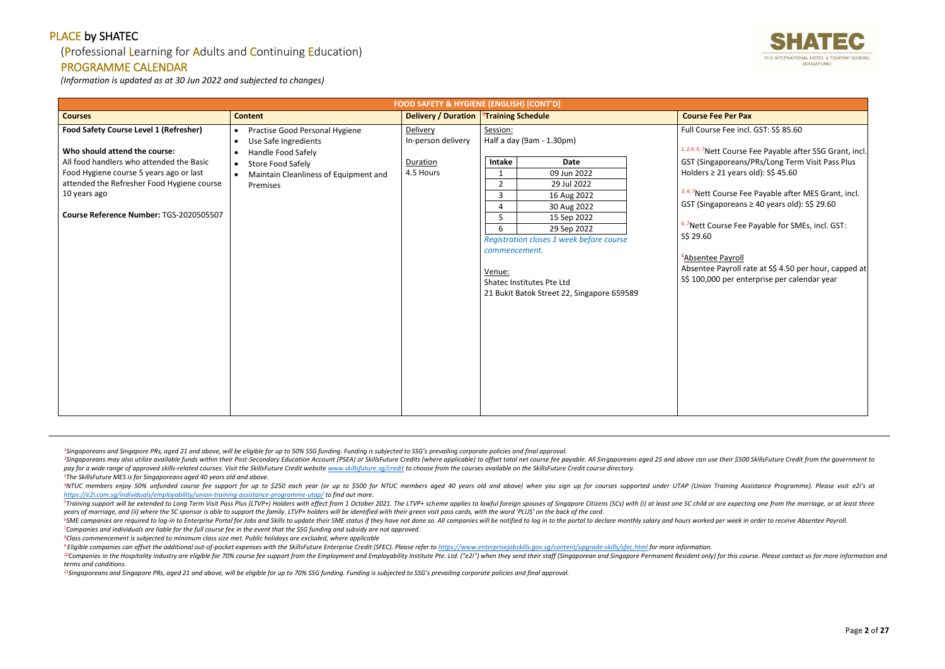## (Professional Learning for Adults and Continuing Education)

## PROGRAMME CALENDAR

*(Information is updated as at 30 Jun 2022 and subjected to changes)*

<sup>2</sup>Singaporeans may also utilize available funds within their Post-Secondary Education Account (PSEA) or SkillsFuture Credits (where applicable) to offset total net course fee payable. All Singaporeans aged 25 and above ca pay for a wide range of approved skills-related courses. Visit the SkillsFuture Credit website www.skillsfuture.sa/credit to choose from the courses available on the SkillsFuture Credit course directory. *<sup>3</sup>The SkillsFuture MES is for Singaporeans aged 40 years old and above.*

<sup>4</sup>NTUC members enjoy 50% unfunded course fee support for up to \$250 each year (or up to \$500 for NTUC members aged 40 years old and above) when you sign up for courses supported under UTAP (Union Training Assistance Progr *<https://e2i.com.sg/individuals/employability/union-training-assistance-programme-utap/> to find out more.* 

<sup>5</sup>Training support will be extended to Long Term Visit Pass Plus (LTVP+) Holders with effect from 1 October 2021. The LTVP+ scheme applies to lawful foreign spouses of Singapore Citizens (SCs) with (i) at least one SC chi *years of marriage, and (ii) where the SC sponsor is able to support the family. LTVP+ holders will be identified with their green visit pass cards, with the word 'PLUS' on the back of the card.*

<sup>6</sup>SME companies are required to log-in to Enterprise Portal for Jobs and Skills to update their SME status if they have not done so. All companies will be notified to log in to the portal to declare monthly salary and hou *<sup>7</sup>Companies and individuals are liable for the full course fee in the event that the SSG funding and subsidy are not approved.*

<sup>9</sup> Eligible companies can offset the additional out-of-pocket expenses with the SkillsFuture Enterprise Credit (SFEC). Please refer to https://www.enterpriseiobskills.gov.sa/content/uparade-skills/sfec.html for more infor <sup>10</sup>Companies in the Hospitality Industry are eligible for 70% course fee support from the Employment and Employability Institute Pte. Ltd. ("e2i") when they send their staff (Singaporean and Singapore Permanent Resident o *terms and conditions.*

*<sup>8</sup>Class commencement is subjected to minimum class size met. Public holidays are excluded, where applicable*

*<sup>11</sup>Singaporeans and Singapore PRs, aged 21 and above, will be eligible for up to 70% SSG funding. Funding is subjected to SSG's prevailing corporate policies and final approval.*



| <b>FOOD SAFETY &amp; HYGIENE (ENGLISH) [CONT'D]</b>                                                                                                                                                                                                                            |                                                                                                                                                                                                                   |                                                         |                                                                                                                                                                                                                                                                                                                                                 |                                                                                                                                                                                                                                                                                                                                                                                                                                                                                                                           |
|--------------------------------------------------------------------------------------------------------------------------------------------------------------------------------------------------------------------------------------------------------------------------------|-------------------------------------------------------------------------------------------------------------------------------------------------------------------------------------------------------------------|---------------------------------------------------------|-------------------------------------------------------------------------------------------------------------------------------------------------------------------------------------------------------------------------------------------------------------------------------------------------------------------------------------------------|---------------------------------------------------------------------------------------------------------------------------------------------------------------------------------------------------------------------------------------------------------------------------------------------------------------------------------------------------------------------------------------------------------------------------------------------------------------------------------------------------------------------------|
| <b>Courses</b>                                                                                                                                                                                                                                                                 | <b>Content</b>                                                                                                                                                                                                    | <b>Delivery / Duration</b>                              | <sup>8</sup> Training Schedule                                                                                                                                                                                                                                                                                                                  | <b>Course Fee Per Pax</b>                                                                                                                                                                                                                                                                                                                                                                                                                                                                                                 |
| <b>Food Safety Course Level 1 (Refresher)</b><br>Who should attend the course:<br>All food handlers who attended the Basic<br>Food Hygiene course 5 years ago or last<br>attended the Refresher Food Hygiene course<br>10 years ago<br>Course Reference Number: TGS-2020505507 | Practise Good Personal Hygiene<br>$\bullet$<br>Use Safe Ingredients<br>$\bullet$<br>Handle Food Safely<br>$\bullet$<br><b>Store Food Safely</b><br>$\bullet$<br>Maintain Cleanliness of Equipment and<br>Premises | Delivery<br>In-person delivery<br>Duration<br>4.5 Hours | Session:<br>Half a day (9am - 1.30pm)<br>Intake<br>Date<br>09 Jun 2022<br>$\overline{2}$<br>29 Jul 2022<br>$\mathbf{3}$<br>16 Aug 2022<br>30 Aug 2022<br>15 Sep 2022<br>5<br>6<br>29 Sep 2022<br>Registration closes 1 week before course<br>commencement.<br>Venue:<br>Shatec Institutes Pte Ltd<br>21 Bukit Batok Street 22, Singapore 659589 | Full Course Fee incl. GST: S\$ 85.60<br>1, 2, 4, 5, 7Nett Course Fee Payable after SSG Grant, incl.<br>GST (Singaporeans/PRs/Long Term Visit Pass Plus<br>Holders $\geq$ 21 years old): S\$ 45.60<br>3, 4, 7Nett Course Fee Payable after MES Grant, incl.<br>GST (Singaporeans $\geq$ 40 years old): S\$ 29.60<br>6,7Nett Course Fee Payable for SMEs, incl. GST:<br>S\$ 29.60<br><sup>6</sup> Absentee Payroll<br>Absentee Payroll rate at S\$ 4.50 per hour, capped at<br>S\$ 100,000 per enterprise per calendar year |
|                                                                                                                                                                                                                                                                                |                                                                                                                                                                                                                   |                                                         |                                                                                                                                                                                                                                                                                                                                                 |                                                                                                                                                                                                                                                                                                                                                                                                                                                                                                                           |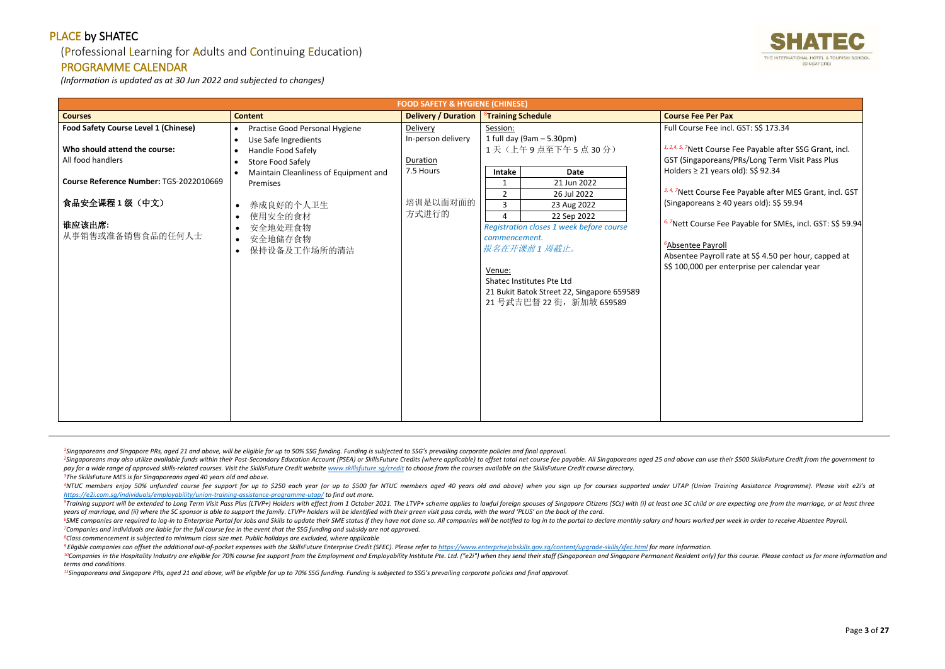## (Professional Learning for Adults and Continuing Education)

#### PROGRAMME CALENDAR

*(Information is updated as at 30 Jun 2022 and subjected to changes)*

<sup>2</sup>Singaporeans may also utilize available funds within their Post-Secondary Education Account (PSEA) or SkillsFuture Credits (where applicable) to offset total net course fee payable. All Singaporeans aged 25 and above ca pay for a wide range of approved skills-related courses. Visit the SkillsFuture Credit website www.skillsfuture.sa/credit to choose from the courses available on the SkillsFuture Credit course directory. *<sup>3</sup>The SkillsFuture MES is for Singaporeans aged 40 years old and above.*

<sup>4</sup>NTUC members enjoy 50% unfunded course fee support for up to \$250 each year (or up to \$500 for NTUC members aged 40 years old and above) when you sign up for courses supported under UTAP (Union Training Assistance Progr *<https://e2i.com.sg/individuals/employability/union-training-assistance-programme-utap/> to find out more.* 

<sup>5</sup>Training support will be extended to Long Term Visit Pass Plus (LTVP+) Holders with effect from 1 October 2021. The LTVP+ scheme applies to lawful foreign spouses of Singapore Citizens (SCs) with (i) at least one SC chi *years of marriage, and (ii) where the SC sponsor is able to support the family. LTVP+ holders will be identified with their green visit pass cards, with the word 'PLUS' on the back of the card.*

<sup>6</sup>SME companies are required to log-in to Enterprise Portal for Jobs and Skills to update their SME status if they have not done so. All companies will be notified to log in to the portal to declare monthly salary and hou *<sup>7</sup>Companies and individuals are liable for the full course fee in the event that the SSG funding and subsidy are not approved.*

<sup>9</sup> Eligible companies can offset the additional out-of-pocket expenses with the SkillsFuture Enterprise Credit (SFEC). Please refer to https://www.enterpriseiobskills.gov.sa/content/uparade-skills/sfec.html for more infor <sup>10</sup>Companies in the Hospitality Industry are eligible for 70% course fee support from the Employment and Employability Institute Pte. Ltd. ("e2i") when they send their staff (Singaporean and Singapore Permanent Resident o *terms and conditions.*

*<sup>8</sup>Class commencement is subjected to minimum class size met. Public holidays are excluded, where applicable*

*<sup>11</sup>Singaporeans and Singapore PRs, aged 21 and above, will be eligible for up to 70% SSG funding. Funding is subjected to SSG's prevailing corporate policies and final approval.*



| <b>FOOD SAFETY &amp; HYGIENE (CHINESE)</b>         |                                                                                                  |                                |                                                                                                                                                                                                                |                                                                                                                                                                                                     |  |  |
|----------------------------------------------------|--------------------------------------------------------------------------------------------------|--------------------------------|----------------------------------------------------------------------------------------------------------------------------------------------------------------------------------------------------------------|-----------------------------------------------------------------------------------------------------------------------------------------------------------------------------------------------------|--|--|
| <b>Courses</b>                                     | <b>Content</b>                                                                                   | <b>Delivery / Duration</b>     | <sup>8</sup> Training Schedule                                                                                                                                                                                 | <b>Course Fee Per Pax</b>                                                                                                                                                                           |  |  |
| <b>Food Safety Course Level 1 (Chinese)</b>        | Practise Good Personal Hygiene<br>$\bullet$                                                      | <b>Delivery</b>                | Session:                                                                                                                                                                                                       | Full Course Fee incl. GST: S\$ 173.34                                                                                                                                                               |  |  |
| Who should attend the course:<br>All food handlers | Use Safe Ingredients<br>$\bullet$<br>Handle Food Safely<br><b>Store Food Safely</b><br>$\bullet$ | In-person delivery<br>Duration | 1 full day $(9am - 5.30pm)$<br>1天(上午9点至下午5点30分)                                                                                                                                                                | <sup>1, 2,4, 5, 7</sup> Nett Course Fee Payable after SSG Grant, incl.<br>GST (Singaporeans/PRs/Long Term Visit Pass Plus                                                                           |  |  |
| Course Reference Number: TGS-2022010669            | Maintain Cleanliness of Equipment and<br>Premises                                                | 7.5 Hours                      | Intake<br><b>Date</b><br>21 Jun 2022<br>$\overline{2}$<br>26 Jul 2022                                                                                                                                          | Holders $\geq$ 21 years old): S\$ 92.34<br>3, 4, 7Nett Course Fee Payable after MES Grant, incl. GST                                                                                                |  |  |
| 食品安全课程1级(中文)                                       | 养成良好的个人卫生                                                                                        | 培训是以面对面的                       | $\overline{3}$<br>23 Aug 2022                                                                                                                                                                                  | (Singaporeans $\geq 40$ years old): S\$ 59.94                                                                                                                                                       |  |  |
| 谁应该出席:<br>从事销售或准备销售食品的任何人士                         | 使用安全的食材<br>安全地处理食物<br>安全地储存食物<br>$\bullet$<br>保持设备及工作场所的清洁<br>$\bullet$                          | 方式进行的                          | 22 Sep 2022<br>4<br>Registration closes 1 week before course<br>commencement.<br>报名在开课前1周截止。<br>Venue:<br>Shatec Institutes Pte Ltd<br>21 Bukit Batok Street 22, Singapore 659589<br>21 号武吉巴督 22 街, 新加坡 659589 | 6,7Nett Course Fee Payable for SMEs, incl. GST: S\$ 59.94<br><sup>6</sup> Absentee Payroll<br>Absentee Payroll rate at S\$ 4.50 per hour, capped at<br>S\$ 100,000 per enterprise per calendar year |  |  |
|                                                    |                                                                                                  |                                |                                                                                                                                                                                                                |                                                                                                                                                                                                     |  |  |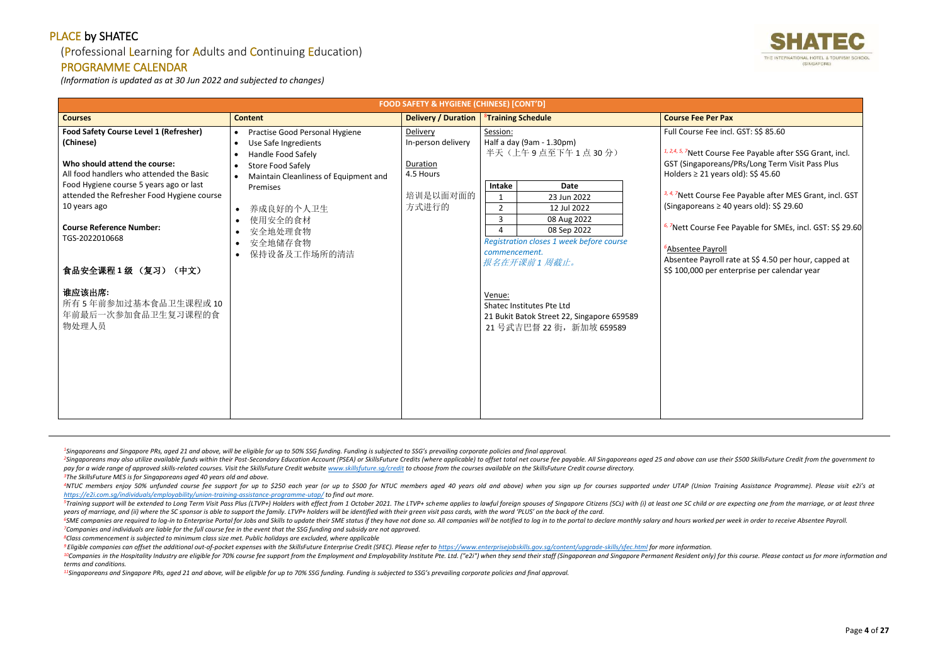## (Professional Learning for Adults and Continuing Education)

## PROGRAMME CALENDAR

*(Information is updated as at 30 Jun 2022 and subjected to changes)*

<sup>2</sup>Singaporeans may also utilize available funds within their Post-Secondary Education Account (PSEA) or SkillsFuture Credits (where applicable) to offset total net course fee payable. All Singaporeans aged 25 and above ca pay for a wide range of approved skills-related courses. Visit the SkillsFuture Credit website www.skillsfuture.sa/credit to choose from the courses available on the SkillsFuture Credit course directory. *<sup>3</sup>The SkillsFuture MES is for Singaporeans aged 40 years old and above.*

<sup>4</sup>NTUC members enjoy 50% unfunded course fee support for up to \$250 each year (or up to \$500 for NTUC members aged 40 years old and above) when you sign up for courses supported under UTAP (Union Training Assistance Progr *<https://e2i.com.sg/individuals/employability/union-training-assistance-programme-utap/> to find out more.* 

<sup>5</sup>Training support will be extended to Long Term Visit Pass Plus (LTVP+) Holders with effect from 1 October 2021. The LTVP+ scheme applies to lawful foreign spouses of Singapore Citizens (SCs) with (i) at least one SC chi *years of marriage, and (ii) where the SC sponsor is able to support the family. LTVP+ holders will be identified with their green visit pass cards, with the word 'PLUS' on the back of the card.*

<sup>6</sup>SME companies are required to log-in to Enterprise Portal for Jobs and Skills to update their SME status if they have not done so. All companies will be notified to log in to the portal to declare monthly salary and hou *<sup>7</sup>Companies and individuals are liable for the full course fee in the event that the SSG funding and subsidy are not approved.*

<sup>9</sup> Eligible companies can offset the additional out-of-pocket expenses with the SkillsFuture Enterprise Credit (SFEC). Please refer to https://www.enterpriseiobskills.gov.sa/content/uparade-skills/sfec.html for more infor <sup>10</sup>Companies in the Hospitality Industry are eligible for 70% course fee support from the Employment and Employability Institute Pte. Ltd. ("e2i") when they send their staff (Singaporean and Singapore Permanent Resident o *terms and conditions.*

*<sup>8</sup>Class commencement is subjected to minimum class size met. Public holidays are excluded, where applicable*

*<sup>11</sup>Singaporeans and Singapore PRs, aged 21 and above, will be eligible for up to 70% SSG funding. Funding is subjected to SSG's prevailing corporate policies and final approval.*



| <b>FOOD SAFETY &amp; HYGIENE (CHINESE) [CONT'D]</b>                                                                                                                                                                                     |                                                                                                                               |                                            |                                                                                                                                                                                            |                                                                                                                                                                                                                                                                                   |  |
|-----------------------------------------------------------------------------------------------------------------------------------------------------------------------------------------------------------------------------------------|-------------------------------------------------------------------------------------------------------------------------------|--------------------------------------------|--------------------------------------------------------------------------------------------------------------------------------------------------------------------------------------------|-----------------------------------------------------------------------------------------------------------------------------------------------------------------------------------------------------------------------------------------------------------------------------------|--|
| <b>Courses</b>                                                                                                                                                                                                                          | <b>Content</b>                                                                                                                | <b>Delivery / Duration</b>                 | <sup>8</sup> Training Schedule                                                                                                                                                             | <b>Course Fee Per Pax</b>                                                                                                                                                                                                                                                         |  |
| <b>Food Safety Course Level 1 (Refresher)</b><br>(Chinese)                                                                                                                                                                              | Practise Good Personal Hygiene<br>$\bullet$<br>Use Safe Ingredients<br>$\bullet$<br>Handle Food Safely<br>$\bullet$           | Delivery<br>In-person delivery             | Session:<br>Half a day (9am - 1.30pm)<br>半天(上午9点至下午1点30分)                                                                                                                                  | Full Course Fee incl. GST: S\$ 85.60<br><sup>1, 2,4, 5, 7</sup> Nett Course Fee Payable after SSG Grant, incl.                                                                                                                                                                    |  |
| Who should attend the course:<br>All food handlers who attended the Basic<br>Food Hygiene course 5 years ago or last<br>attended the Refresher Food Hygiene course<br>10 years ago<br><b>Course Reference Number:</b><br>TGS-2022010668 | <b>Store Food Safely</b><br>$\bullet$<br>Maintain Cleanliness of Equipment and<br>Premises<br>养成良好的个人卫生<br>使用安全的食材<br>安全地处理食物 | Duration<br>4.5 Hours<br>培训是以面对面的<br>方式进行的 | Intake<br>Date<br>23 Jun 2022<br>1<br>$\overline{2}$<br>12 Jul 2022<br>3<br>08 Aug 2022<br>08 Sep 2022<br>4                                                                                | GST (Singaporeans/PRs/Long Term Visit Pass Plus<br>Holders $\geq$ 21 years old): S\$ 45.60<br><sup>3, 4, 7</sup> Nett Course Fee Payable after MES Grant, incl. GST<br>(Singaporeans $\geq 40$ years old): S\$ 29.60<br>6,7Nett Course Fee Payable for SMEs, incl. GST: S\$ 29.60 |  |
| 食品安全课程1级 (复习) (中文)<br>谁应该出席:<br>所有5年前参加过基本食品卫生课程或10<br>年前最后一次参加食品卫生复习课程的食<br>物处理人员                                                                                                                                                      | 安全地储存食物<br>保持设备及工作场所的清洁                                                                                                       |                                            | Registration closes 1 week before course<br>commencement.<br>报名在开课前1周截止。<br>Venue:<br>Shatec Institutes Pte Ltd<br>21 Bukit Batok Street 22, Singapore 659589<br>21 号武吉巴督 22 街, 新加坡 659589 | <sup>6</sup> Absentee Payroll<br>Absentee Payroll rate at S\$ 4.50 per hour, capped at<br>S\$ 100,000 per enterprise per calendar year                                                                                                                                            |  |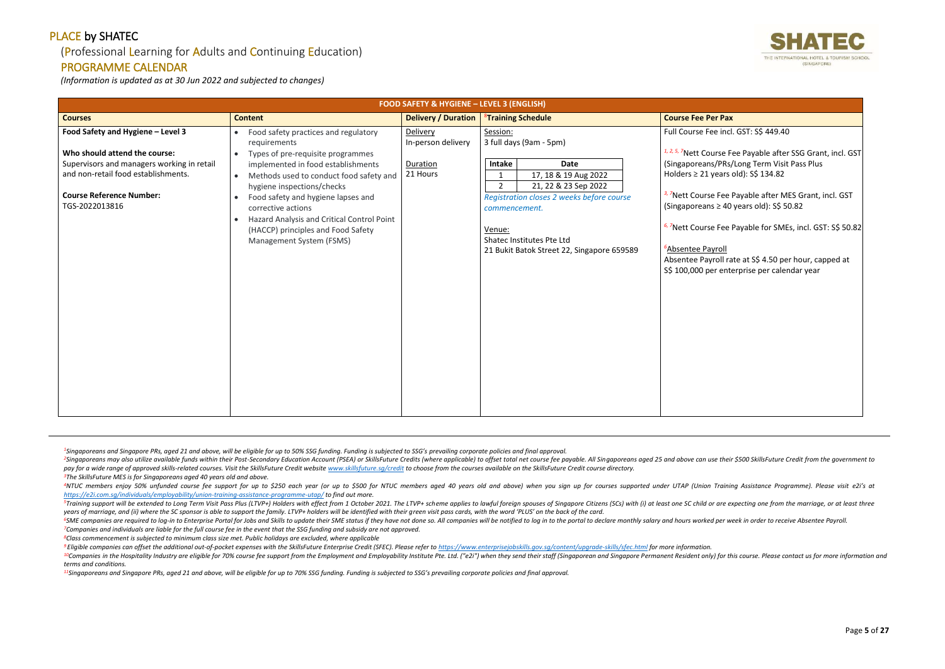#### (Professional Learning for Adults and Continuing Education)

## PROGRAMME CALENDAR

*(Information is updated as at 30 Jun 2022 and subjected to changes)*

<sup>2</sup>Singaporeans may also utilize available funds within their Post-Secondary Education Account (PSEA) or SkillsFuture Credits (where applicable) to offset total net course fee payable. All Singaporeans aged 25 and above ca pay for a wide range of approved skills-related courses. Visit the SkillsFuture Credit website www.skillsfuture.sa/credit to choose from the courses available on the SkillsFuture Credit course directory. *<sup>3</sup>The SkillsFuture MES is for Singaporeans aged 40 years old and above.*

<sup>4</sup>NTUC members enjoy 50% unfunded course fee support for up to \$250 each year (or up to \$500 for NTUC members aged 40 years old and above) when you sign up for courses supported under UTAP (Union Training Assistance Progr *<https://e2i.com.sg/individuals/employability/union-training-assistance-programme-utap/> to find out more.* 

<sup>5</sup>Training support will be extended to Long Term Visit Pass Plus (LTVP+) Holders with effect from 1 October 2021. The LTVP+ scheme applies to lawful foreign spouses of Singapore Citizens (SCs) with (i) at least one SC chi *years of marriage, and (ii) where the SC sponsor is able to support the family. LTVP+ holders will be identified with their green visit pass cards, with the word 'PLUS' on the back of the card.*

<sup>6</sup>SME companies are required to log-in to Enterprise Portal for Jobs and Skills to update their SME status if they have not done so. All companies will be notified to log in to the portal to declare monthly salary and hou *<sup>7</sup>Companies and individuals are liable for the full course fee in the event that the SSG funding and subsidy are not approved.*

<sup>9</sup> Eligible companies can offset the additional out-of-pocket expenses with the SkillsFuture Enterprise Credit (SFEC). Please refer to https://www.enterpriseiobskills.gov.sa/content/uparade-skills/sfec.html for more infor <sup>10</sup>Companies in the Hospitality Industry are eligible for 70% course fee support from the Employment and Employability Institute Pte. Ltd. ("e2i") when they send their staff (Singaporean and Singapore Permanent Resident o *terms and conditions.*

*<sup>8</sup>Class commencement is subjected to minimum class size met. Public holidays are excluded, where applicable*

*<sup>11</sup>Singaporeans and Singapore PRs, aged 21 and above, will be eligible for up to 70% SSG funding. Funding is subjected to SSG's prevailing corporate policies and final approval.*



| <b>FOOD SAFETY &amp; HYGIENE - LEVEL 3 (ENGLISH)</b>                                                                                                                                                         |                                                                                                                                                                                                                                                                                                                                                                                                                                                       |                                                        |                                                                                                                                                                                                                                                                         |                                                                                                                                                                                                                                                                                                                                                                                                                                                                                                                                           |
|--------------------------------------------------------------------------------------------------------------------------------------------------------------------------------------------------------------|-------------------------------------------------------------------------------------------------------------------------------------------------------------------------------------------------------------------------------------------------------------------------------------------------------------------------------------------------------------------------------------------------------------------------------------------------------|--------------------------------------------------------|-------------------------------------------------------------------------------------------------------------------------------------------------------------------------------------------------------------------------------------------------------------------------|-------------------------------------------------------------------------------------------------------------------------------------------------------------------------------------------------------------------------------------------------------------------------------------------------------------------------------------------------------------------------------------------------------------------------------------------------------------------------------------------------------------------------------------------|
| <b>Courses</b>                                                                                                                                                                                               | <b>Content</b>                                                                                                                                                                                                                                                                                                                                                                                                                                        | <b>Delivery / Duration</b>                             | <sup>8</sup> Training Schedule                                                                                                                                                                                                                                          | <b>Course Fee Per Pax</b>                                                                                                                                                                                                                                                                                                                                                                                                                                                                                                                 |
| Food Safety and Hygiene - Level 3<br>Who should attend the course:<br>Supervisors and managers working in retail<br>and non-retail food establishments.<br><b>Course Reference Number:</b><br>TGS-2022013816 | Food safety practices and regulatory<br>$\bullet$<br>requirements<br>Types of pre-requisite programmes<br>$\bullet$<br>implemented in food establishments<br>Methods used to conduct food safety and<br>$\bullet$<br>hygiene inspections/checks<br>Food safety and hygiene lapses and<br>$\bullet$<br>corrective actions<br>Hazard Analysis and Critical Control Point<br>$\bullet$<br>(HACCP) principles and Food Safety<br>Management System (FSMS) | Delivery<br>In-person delivery<br>Duration<br>21 Hours | Session:<br>3 full days (9am - 5pm)<br>Intake<br>Date<br>17, 18 & 19 Aug 2022<br>$2^{\circ}$<br>21, 22 & 23 Sep 2022<br>Registration closes 2 weeks before course<br>commencement.<br>Venue:<br>Shatec Institutes Pte Ltd<br>21 Bukit Batok Street 22, Singapore 659589 | Full Course Fee incl. GST: S\$ 449.40<br><sup>1, 2, 5, 7</sup> Nett Course Fee Payable after SSG Grant, incl. GST<br>(Singaporeans/PRs/Long Term Visit Pass Plus<br>Holders $\geq$ 21 years old): S\$ 134.82<br><sup>3,7</sup> Nett Course Fee Payable after MES Grant, incl. GST<br>(Singaporeans $\geq$ 40 years old): S\$ 50.82<br>6,7Nett Course Fee Payable for SMEs, incl. GST: S\$ 50.82<br><sup>6</sup> Absentee Payroll<br>Absentee Payroll rate at S\$ 4.50 per hour, capped at<br>S\$ 100,000 per enterprise per calendar year |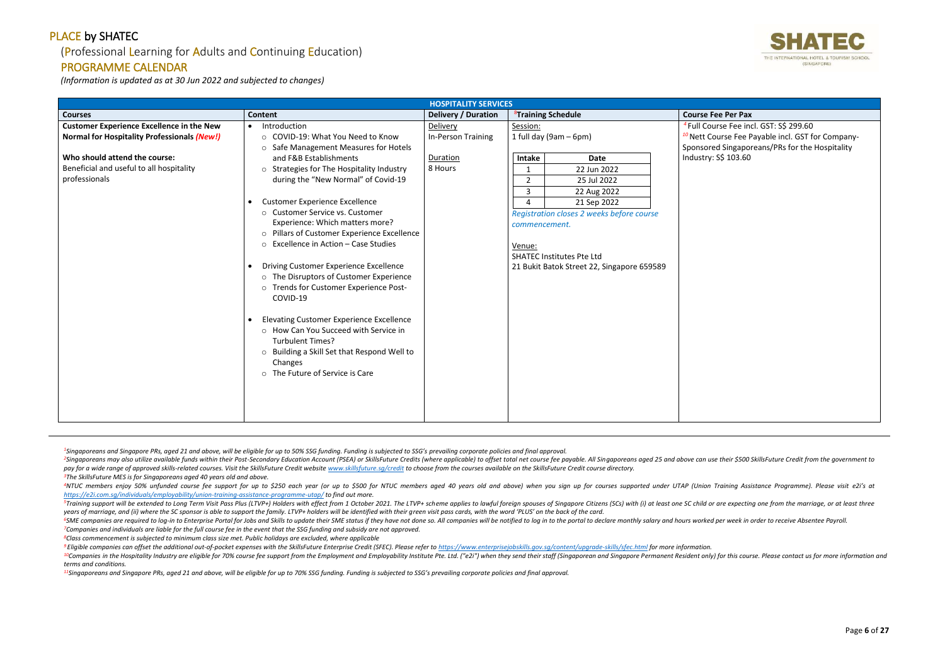## (Professional Learning for Adults and Continuing Education)

#### PROGRAMME CALENDAR

*(Information is updated as at 30 Jun 2022 and subjected to changes)*

<sup>2</sup>Singaporeans may also utilize available funds within their Post-Secondary Education Account (PSEA) or SkillsFuture Credits (where applicable) to offset total net course fee payable. All Singaporeans aged 25 and above ca pay for a wide range of approved skills-related courses. Visit the SkillsFuture Credit website www.skillsfuture.sa/credit to choose from the courses available on the SkillsFuture Credit course directory. *<sup>3</sup>The SkillsFuture MES is for Singaporeans aged 40 years old and above.*

<sup>4</sup>NTUC members enjoy 50% unfunded course fee support for up to \$250 each year (or up to \$500 for NTUC members aged 40 years old and above) when you sign up for courses supported under UTAP (Union Training Assistance Progr *<https://e2i.com.sg/individuals/employability/union-training-assistance-programme-utap/> to find out more.* 

<sup>5</sup>Training support will be extended to Long Term Visit Pass Plus (LTVP+) Holders with effect from 1 October 2021. The LTVP+ scheme applies to lawful foreign spouses of Singapore Citizens (SCs) with (i) at least one SC chi *years of marriage, and (ii) where the SC sponsor is able to support the family. LTVP+ holders will be identified with their green visit pass cards, with the word 'PLUS' on the back of the card.*

<sup>6</sup>SME companies are required to log-in to Enterprise Portal for Jobs and Skills to update their SME status if they have not done so. All companies will be notified to log in to the portal to declare monthly salary and hou *<sup>7</sup>Companies and individuals are liable for the full course fee in the event that the SSG funding and subsidy are not approved.*

<sup>9</sup> Eligible companies can offset the additional out-of-pocket expenses with the SkillsFuture Enterprise Credit (SFEC). Please refer to https://www.enterpriseiobskills.gov.sa/content/uparade-skills/sfec.html for more infor <sup>10</sup>Companies in the Hospitality Industry are eligible for 70% course fee support from the Employment and Employability Institute Pte. Ltd. ("e2i") when they send their staff (Singaporean and Singapore Permanent Resident o *terms and conditions.*

*<sup>4</sup>*Full Course Fee incl. GST: S\$ 299.60 burse Fee Payable incl. GST for Companyed Singaporeans/PRs for the Hospitality S\$ 103.60

*<sup>8</sup>Class commencement is subjected to minimum class size met. Public holidays are excluded, where applicable*

*<sup>11</sup>Singaporeans and Singapore PRs, aged 21 and above, will be eligible for up to 70% SSG funding. Funding is subjected to SSG's prevailing corporate policies and final approval.*



|                                                                                                                                                                                                      |                                                                                                                                                                                                                                                                                                                                                                                                                                                                                                                                                                                                                                                                                                                                                                                                                       | <b>HOSPITALITY SERVICES</b>                           |                                                                                                                                                                                                                                                                                                                             |                                                                                                                 |
|------------------------------------------------------------------------------------------------------------------------------------------------------------------------------------------------------|-----------------------------------------------------------------------------------------------------------------------------------------------------------------------------------------------------------------------------------------------------------------------------------------------------------------------------------------------------------------------------------------------------------------------------------------------------------------------------------------------------------------------------------------------------------------------------------------------------------------------------------------------------------------------------------------------------------------------------------------------------------------------------------------------------------------------|-------------------------------------------------------|-----------------------------------------------------------------------------------------------------------------------------------------------------------------------------------------------------------------------------------------------------------------------------------------------------------------------------|-----------------------------------------------------------------------------------------------------------------|
| <b>Courses</b>                                                                                                                                                                                       | <b>Content</b>                                                                                                                                                                                                                                                                                                                                                                                                                                                                                                                                                                                                                                                                                                                                                                                                        | <b>Delivery / Duration</b>                            | <sup>8</sup> Training Schedule                                                                                                                                                                                                                                                                                              | <b>Course Fee Per Pax</b>                                                                                       |
| <b>Customer Experience Excellence in the New</b><br><b>Normal for Hospitality Professionals (New!)</b><br>Who should attend the course:<br>Beneficial and useful to all hospitality<br>professionals | Introduction<br>$\bullet$<br>○ COVID-19: What You Need to Know<br>○ Safe Management Measures for Hotels<br>and F&B Establishments<br>o Strategies for The Hospitality Industry<br>during the "New Normal" of Covid-19<br><b>Customer Experience Excellence</b><br>$\bullet$<br>○ Customer Service vs. Customer<br>Experience: Which matters more?<br>o Pillars of Customer Experience Excellence<br>○ Excellence in Action – Case Studies<br>Driving Customer Experience Excellence<br>o The Disruptors of Customer Experience<br>o Trends for Customer Experience Post-<br>COVID-19<br><b>Elevating Customer Experience Excellence</b><br>$\bullet$<br>o How Can You Succeed with Service in<br><b>Turbulent Times?</b><br>o Building a Skill Set that Respond Well to<br>Changes<br>o The Future of Service is Care | Delivery<br>In-Person Training<br>Duration<br>8 Hours | Session:<br>1 full day (9am $-$ 6pm)<br><b>Date</b><br><b>Intake</b><br>22 Jun 2022<br>1<br>25 Jul 2022<br>$\overline{2}$<br>3<br>22 Aug 2022<br>21 Sep 2022<br>4<br>Registration closes 2 weeks before course<br>commencement.<br>Venue:<br><b>SHATEC Institutes Pte Ltd</b><br>21 Bukit Batok Street 22, Singapore 659589 | <sup>4</sup> Full Course Fee in<br><sup>10</sup> Nett Course Fee F<br>Sponsored Singapo<br>Industry: S\$ 103.60 |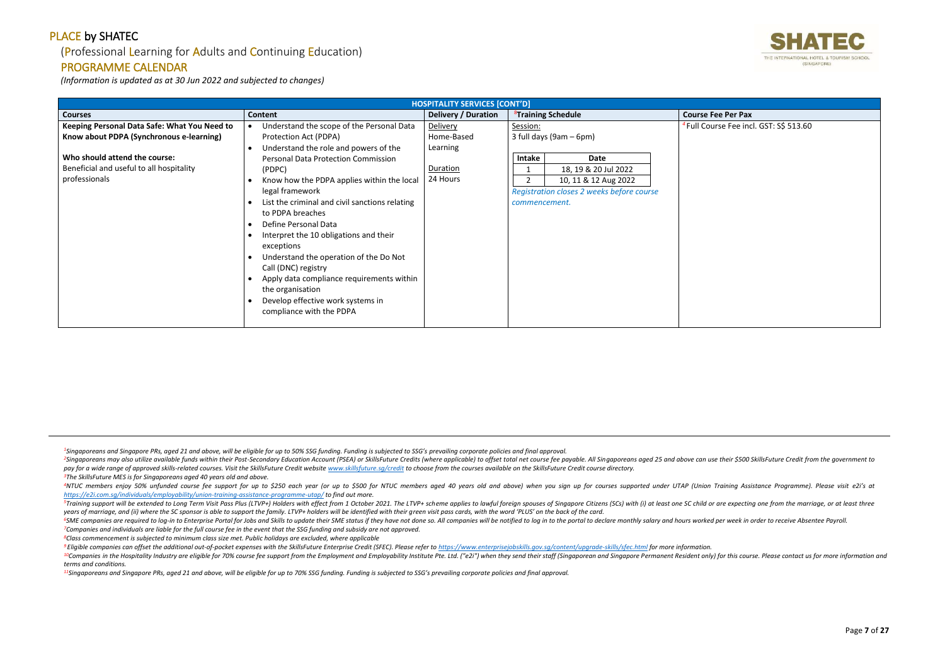## (Professional Learning for Adults and Continuing Education)

#### PROGRAMME CALENDAR

*(Information is updated as at 30 Jun 2022 and subjected to changes)*

<sup>2</sup>Singaporeans may also utilize available funds within their Post-Secondary Education Account (PSEA) or SkillsFuture Credits (where applicable) to offset total net course fee payable. All Singaporeans aged 25 and above ca pay for a wide range of approved skills-related courses. Visit the SkillsFuture Credit website www.skillsfuture.sa/credit to choose from the courses available on the SkillsFuture Credit course directory. *<sup>3</sup>The SkillsFuture MES is for Singaporeans aged 40 years old and above.*

<sup>4</sup>NTUC members enjoy 50% unfunded course fee support for up to \$250 each year (or up to \$500 for NTUC members aged 40 years old and above) when you sign up for courses supported under UTAP (Union Training Assistance Progr *<https://e2i.com.sg/individuals/employability/union-training-assistance-programme-utap/> to find out more.* 

<sup>5</sup>Training support will be extended to Long Term Visit Pass Plus (LTVP+) Holders with effect from 1 October 2021. The LTVP+ scheme applies to lawful foreign spouses of Singapore Citizens (SCs) with (i) at least one SC chi *years of marriage, and (ii) where the SC sponsor is able to support the family. LTVP+ holders will be identified with their green visit pass cards, with the word 'PLUS' on the back of the card.*

<sup>6</sup>SME companies are required to log-in to Enterprise Portal for Jobs and Skills to update their SME status if they have not done so. All companies will be notified to log in to the portal to declare monthly salary and hou *<sup>7</sup>Companies and individuals are liable for the full course fee in the event that the SSG funding and subsidy are not approved.*

<sup>9</sup> Eligible companies can offset the additional out-of-pocket expenses with the SkillsFuture Enterprise Credit (SFEC). Please refer to https://www.enterpriseiobskills.gov.sa/content/uparade-skills/sfec.html for more infor <sup>10</sup>Companies in the Hospitality Industry are eligible for 70% course fee support from the Employment and Employability Institute Pte. Ltd. ("e2i") when they send their staff (Singaporean and Singapore Permanent Resident o *terms and conditions.*

*<sup>8</sup>Class commencement is subjected to minimum class size met. Public holidays are excluded, where applicable*

*<sup>11</sup>Singaporeans and Singapore PRs, aged 21 and above, will be eligible for up to 70% SSG funding. Funding is subjected to SSG's prevailing corporate policies and final approval.*



*Irse Fee incl. GST: S\$ 513.60* 

|                                              | <b>HOSPITALITY SERVICES [CONT'D]</b>           |                            |                                |                                           |                                  |
|----------------------------------------------|------------------------------------------------|----------------------------|--------------------------------|-------------------------------------------|----------------------------------|
| <b>Courses</b>                               | Content                                        | <b>Delivery / Duration</b> | <sup>8</sup> Training Schedule |                                           | <b>Course Fee Per Pax</b>        |
| Keeping Personal Data Safe: What You Need to | Understand the scope of the Personal Data      | Delivery                   | Session:                       |                                           | <sup>4</sup> Full Course Fee ind |
| Know about PDPA (Synchronous e-learning)     | Protection Act (PDPA)                          | Home-Based                 |                                | 3 full days (9am – 6pm)                   |                                  |
|                                              | Understand the role and powers of the          | Learning                   |                                |                                           |                                  |
| Who should attend the course:                | <b>Personal Data Protection Commission</b>     |                            | Intake                         | Date                                      |                                  |
| Beneficial and useful to all hospitality     | (PDPC)                                         | Duration                   |                                | 18, 19 & 20 Jul 2022                      |                                  |
| professionals                                | Know how the PDPA applies within the local     | 24 Hours                   |                                | 10, 11 & 12 Aug 2022                      |                                  |
|                                              | legal framework                                |                            |                                | Registration closes 2 weeks before course |                                  |
|                                              | List the criminal and civil sanctions relating |                            | commencement.                  |                                           |                                  |
|                                              | to PDPA breaches                               |                            |                                |                                           |                                  |
|                                              | Define Personal Data                           |                            |                                |                                           |                                  |
|                                              | Interpret the 10 obligations and their         |                            |                                |                                           |                                  |
|                                              | exceptions                                     |                            |                                |                                           |                                  |
|                                              | Understand the operation of the Do Not         |                            |                                |                                           |                                  |
|                                              | Call (DNC) registry                            |                            |                                |                                           |                                  |
|                                              | Apply data compliance requirements within      |                            |                                |                                           |                                  |
|                                              | the organisation                               |                            |                                |                                           |                                  |
|                                              | Develop effective work systems in              |                            |                                |                                           |                                  |
|                                              | compliance with the PDPA                       |                            |                                |                                           |                                  |
|                                              |                                                |                            |                                |                                           |                                  |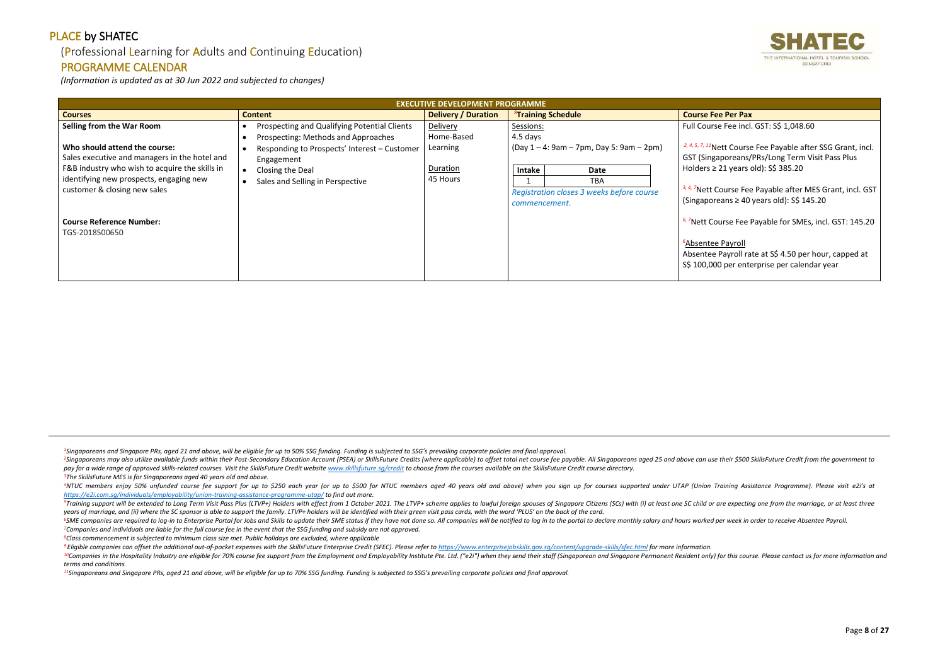## (Professional Learning for Adults and Continuing Education)

#### PROGRAMME CALENDAR

*(Information is updated as at 30 Jun 2022 and subjected to changes)*

<sup>2</sup>Singaporeans may also utilize available funds within their Post-Secondary Education Account (PSEA) or SkillsFuture Credits (where applicable) to offset total net course fee payable. All Singaporeans aged 25 and above ca pay for a wide range of approved skills-related courses. Visit the SkillsFuture Credit website www.skillsfuture.sa/credit to choose from the courses available on the SkillsFuture Credit course directory. *<sup>3</sup>The SkillsFuture MES is for Singaporeans aged 40 years old and above.*

<sup>4</sup>NTUC members enjoy 50% unfunded course fee support for up to \$250 each year (or up to \$500 for NTUC members aged 40 years old and above) when you sign up for courses supported under UTAP (Union Training Assistance Progr *<https://e2i.com.sg/individuals/employability/union-training-assistance-programme-utap/> to find out more.* 

<sup>5</sup>Training support will be extended to Long Term Visit Pass Plus (LTVP+) Holders with effect from 1 October 2021. The LTVP+ scheme applies to lawful foreign spouses of Singapore Citizens (SCs) with (i) at least one SC chi *years of marriage, and (ii) where the SC sponsor is able to support the family. LTVP+ holders will be identified with their green visit pass cards, with the word 'PLUS' on the back of the card.*

<sup>6</sup>SME companies are required to log-in to Enterprise Portal for Jobs and Skills to update their SME status if they have not done so. All companies will be notified to log in to the portal to declare monthly salary and hou *<sup>7</sup>Companies and individuals are liable for the full course fee in the event that the SSG funding and subsidy are not approved.*

<sup>9</sup> Eligible companies can offset the additional out-of-pocket expenses with the SkillsFuture Enterprise Credit (SFEC). Please refer to https://www.enterpriseiobskills.gov.sa/content/uparade-skills/sfec.html for more infor <sup>10</sup>Companies in the Hospitality Industry are eligible for 70% course fee support from the Employment and Employability Institute Pte. Ltd. ("e2i") when they send their staff (Singaporean and Singapore Permanent Resident o *terms and conditions.*

Course Fee Payable after MES Grant, incl. GST (Singaporeans ≥ 40 years old): S\$ 145.20

ourse Fee Payable for SMEs, incl. GST: 145.20

**e** Payroll Payroll rate at S\$ 4.50 per hour, capped at 00 per enterprise per calendar year

*<sup>8</sup>Class commencement is subjected to minimum class size met. Public holidays are excluded, where applicable*

*<sup>11</sup>Singaporeans and Singapore PRs, aged 21 and above, will be eligible for up to 70% SSG funding. Funding is subjected to SSG's prevailing corporate policies and final approval.*



se Fee incl. GST: S\$ 1,048.60

**Parable of the Payable after SSG Grant, incl.** aporeans/PRs/Long Term Visit Pass Plus 21 years old): S\$ 385.20

|                                                                                                                           | <b>EXECUTIVE DEVELOPMENT PROGRAMME</b>                                              |                            |                                                                                            |                                                                                                                   |
|---------------------------------------------------------------------------------------------------------------------------|-------------------------------------------------------------------------------------|----------------------------|--------------------------------------------------------------------------------------------|-------------------------------------------------------------------------------------------------------------------|
| <b>Courses</b>                                                                                                            | <b>Content</b>                                                                      | <b>Delivery / Duration</b> | <sup>8</sup> Training Schedule                                                             | <b>Course Fee Per Pax</b>                                                                                         |
| Selling from the War Room                                                                                                 | Prospecting and Qualifying Potential Clients<br>Prospecting: Methods and Approaches | Delivery<br>Home-Based     | Sessions:<br>4.5 days                                                                      | <b>Full Course Fee incl</b>                                                                                       |
| Who should attend the course:<br>Sales executive and managers in the hotel and                                            | Responding to Prospects' Interest - Customer<br>Engagement                          | Learning                   | $(Day 1 - 4: 9am - 7pm, Day 5: 9am - 2pm)$                                                 | <sup>2, 4, 5, 7, 11</sup> Nett Course<br>GST (Singaporeans/                                                       |
| F&B industry who wish to acquire the skills in<br>identifying new prospects, engaging new<br>customer & closing new sales | Closing the Deal<br>Sales and Selling in Perspective                                | Duration<br>45 Hours       | Intake<br>Date<br><b>TBA</b><br>Registration closes 3 weeks before course<br>commencement. | Holders $\geq$ 21 years<br><sup>3, 4, 7</sup> Nett Course Fee<br>(Singaporeans $\geq 40$                          |
| <b>Course Reference Number:</b><br>TGS-2018500650                                                                         |                                                                                     |                            |                                                                                            | <sup>6, 7</sup> Nett Course Fee I<br><sup>6</sup> Absentee Payroll<br>Absentee Payroll ra<br>S\$ 100,000 per ente |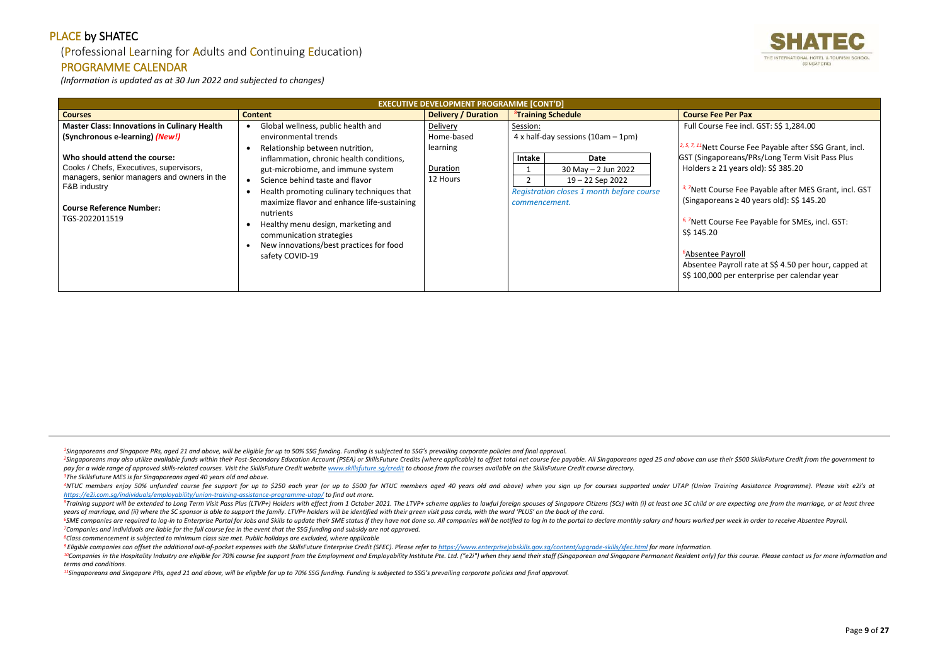## (Professional Learning for Adults and Continuing Education)

#### PROGRAMME CALENDAR

*(Information is updated as at 30 Jun 2022 and subjected to changes)*

<sup>2</sup>Singaporeans may also utilize available funds within their Post-Secondary Education Account (PSEA) or SkillsFuture Credits (where applicable) to offset total net course fee payable. All Singaporeans aged 25 and above ca pay for a wide range of approved skills-related courses. Visit the SkillsFuture Credit website www.skillsfuture.sa/credit to choose from the courses available on the SkillsFuture Credit course directory. *<sup>3</sup>The SkillsFuture MES is for Singaporeans aged 40 years old and above.*

<sup>4</sup>NTUC members enjoy 50% unfunded course fee support for up to \$250 each year (or up to \$500 for NTUC members aged 40 years old and above) when you sign up for courses supported under UTAP (Union Training Assistance Progr *<https://e2i.com.sg/individuals/employability/union-training-assistance-programme-utap/> to find out more.* 

<sup>5</sup>Training support will be extended to Long Term Visit Pass Plus (LTVP+) Holders with effect from 1 October 2021. The LTVP+ scheme applies to lawful foreign spouses of Singapore Citizens (SCs) with (i) at least one SC chi *years of marriage, and (ii) where the SC sponsor is able to support the family. LTVP+ holders will be identified with their green visit pass cards, with the word 'PLUS' on the back of the card.*

<sup>6</sup>SME companies are required to log-in to Enterprise Portal for Jobs and Skills to update their SME status if they have not done so. All companies will be notified to log in to the portal to declare monthly salary and hou *<sup>7</sup>Companies and individuals are liable for the full course fee in the event that the SSG funding and subsidy are not approved.*

<sup>9</sup> Eligible companies can offset the additional out-of-pocket expenses with the SkillsFuture Enterprise Credit (SFEC). Please refer to https://www.enterpriseiobskills.gov.sa/content/uparade-skills/sfec.html for more infor <sup>10</sup>Companies in the Hospitality Industry are eligible for 70% course fee support from the Employment and Employability Institute Pte. Ltd. ("e2i") when they send their staff (Singaporean and Singapore Permanent Resident o *terms and conditions.*

*2, 5, 7, 11*Nett Course Fee Payable after SSG Grant, incl. poreans/PRs/Long Term Visit Pass Plus 21 years old): S\$ 385.20

**Jurse Fee Payable after MES Grant, incl. GST** (Singaporeans ≥ 40 years old): S\$ 145.20

**Produce Fee Payable for SMEs, incl. GST:** 

**Payroll** Payroll rate at S\$ 4.50 per hour, capped at 00 per enterprise per calendar year

*<sup>8</sup>Class commencement is subjected to minimum class size met. Public holidays are excluded, where applicable*

*<sup>11</sup>Singaporeans and Singapore PRs, aged 21 and above, will be eligible for up to 70% SSG funding. Funding is subjected to SSG's prevailing corporate policies and final approval.*



se Fee incl. GST: S\$ 1,284.00

|                                                                                                                                                                                                                                                                                        | <b>EXECUTIVE DEVELOPMENT PROGRAMME [CONT'D]</b>                                                                                                                                                                                                                                                                                                                                                                                                      |                                                                   |                                            |                                                                                                                                           |                                                                                                                                                                                                                                                                          |
|----------------------------------------------------------------------------------------------------------------------------------------------------------------------------------------------------------------------------------------------------------------------------------------|------------------------------------------------------------------------------------------------------------------------------------------------------------------------------------------------------------------------------------------------------------------------------------------------------------------------------------------------------------------------------------------------------------------------------------------------------|-------------------------------------------------------------------|--------------------------------------------|-------------------------------------------------------------------------------------------------------------------------------------------|--------------------------------------------------------------------------------------------------------------------------------------------------------------------------------------------------------------------------------------------------------------------------|
| <b>Courses</b>                                                                                                                                                                                                                                                                         | <b>Content</b>                                                                                                                                                                                                                                                                                                                                                                                                                                       | <b>Delivery / Duration</b>                                        |                                            | <sup>8</sup> Training Schedule                                                                                                            | <b>Course Fee Per Pax</b>                                                                                                                                                                                                                                                |
| <b>Master Class: Innovations in Culinary Health</b><br>(Synchronous e-learning) (New!)<br>Who should attend the course:<br>Cooks / Chefs, Executives, supervisors,<br>managers, senior managers and owners in the<br>F&B industry<br><b>Course Reference Number:</b><br>TGS-2022011519 | Global wellness, public health and<br>environmental trends<br>Relationship between nutrition,<br>inflammation, chronic health conditions,<br>gut-microbiome, and immune system<br>Science behind taste and flavor<br>$\bullet$<br>Health promoting culinary techniques that<br>maximize flavor and enhance life-sustaining<br>nutrients<br>Healthy menu design, marketing and<br>communication strategies<br>New innovations/best practices for food | Delivery<br>Home-based<br>learning<br><b>Duration</b><br>12 Hours | Session:<br><b>Intake</b><br>commencement. | $4x$ half-day sessions (10am $-1$ pm)<br>Date<br>$30$ May $- 2$ Jun 2022<br>19 - 22 Sep 2022<br>Registration closes 1 month before course | <b>Full Course Fee incl</b><br>$2, 5, 7, 11$ Nett Course Fr<br><b>GST (Singaporeans/P</b><br>Holders $\geq$ 21 years<br><sup>3, 7</sup> Nett Course Fee I<br>(Singaporeans $\geq 40$<br><sup>6, 7</sup> Nett Course Fee I<br>S\$ 145.20<br><sup>6</sup> Absentee Payroll |
|                                                                                                                                                                                                                                                                                        | safety COVID-19                                                                                                                                                                                                                                                                                                                                                                                                                                      |                                                                   |                                            |                                                                                                                                           | Absentee Payroll ra<br>S\$ 100,000 per ente                                                                                                                                                                                                                              |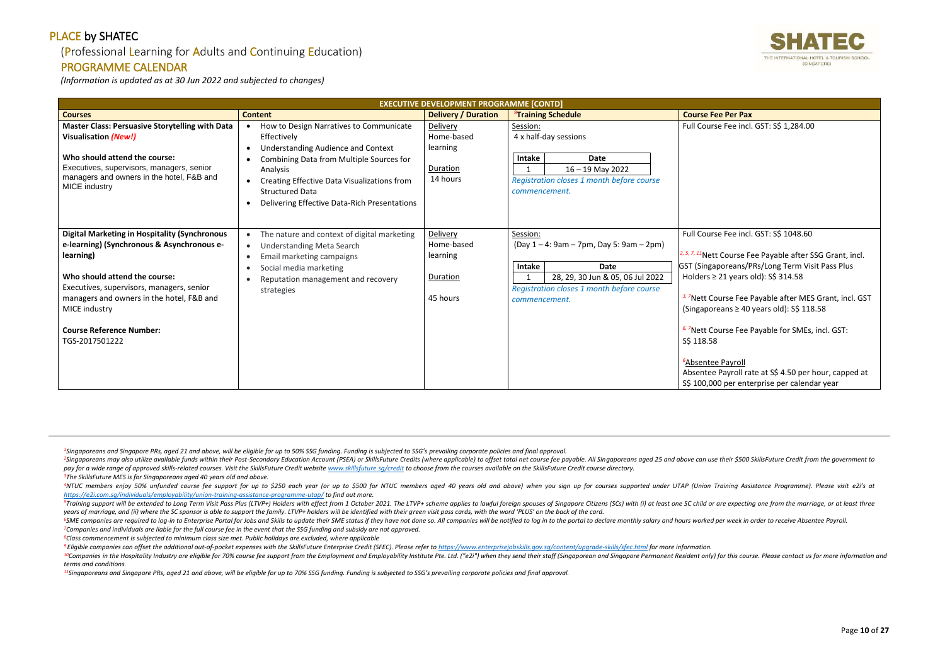## (Professional Learning for Adults and Continuing Education)

#### PROGRAMME CALENDAR

*(Information is updated as at 30 Jun 2022 and subjected to changes)*

<sup>2</sup>Singaporeans may also utilize available funds within their Post-Secondary Education Account (PSEA) or SkillsFuture Credits (where applicable) to offset total net course fee payable. All Singaporeans aged 25 and above ca pay for a wide range of approved skills-related courses. Visit the SkillsFuture Credit website www.skillsfuture.sa/credit to choose from the courses available on the SkillsFuture Credit course directory. *<sup>3</sup>The SkillsFuture MES is for Singaporeans aged 40 years old and above.*

<sup>4</sup>NTUC members enjoy 50% unfunded course fee support for up to \$250 each year (or up to \$500 for NTUC members aged 40 years old and above) when you sign up for courses supported under UTAP (Union Training Assistance Progr *<https://e2i.com.sg/individuals/employability/union-training-assistance-programme-utap/> to find out more.* 

<sup>5</sup>Training support will be extended to Long Term Visit Pass Plus (LTVP+) Holders with effect from 1 October 2021. The LTVP+ scheme applies to lawful foreign spouses of Singapore Citizens (SCs) with (i) at least one SC chi *years of marriage, and (ii) where the SC sponsor is able to support the family. LTVP+ holders will be identified with their green visit pass cards, with the word 'PLUS' on the back of the card.*

<sup>6</sup>SME companies are required to log-in to Enterprise Portal for Jobs and Skills to update their SME status if they have not done so. All companies will be notified to log in to the portal to declare monthly salary and hou *<sup>7</sup>Companies and individuals are liable for the full course fee in the event that the SSG funding and subsidy are not approved.*

<sup>9</sup> Eligible companies can offset the additional out-of-pocket expenses with the SkillsFuture Enterprise Credit (SFEC). Please refer to https://www.enterpriseiobskills.gov.sa/content/uparade-skills/sfec.html for more infor <sup>10</sup>Companies in the Hospitality Industry are eligible for 70% course fee support from the Employment and Employability Institute Pte. Ltd. ("e2i") when they send their staff (Singaporean and Singapore Permanent Resident o *terms and conditions.*

*<sup>8</sup>Class commencement is subjected to minimum class size met. Public holidays are excluded, where applicable*

*2, 5, 7, 11*Nett Course Fee Payable after SSG Grant, incl. aporeans/PRs/Long Term Visit Pass Plus 21 years old): S\$ 314.58

*<u>B</u> Zuererage Fee Payable after MES Grant, incl. GST*  $r$ eans ≥ 40 years old): S\$ 118.58

ourse Fee Payable for SMEs, incl. GST:

*e* Payroll Payroll rate at S\$ 4.50 per hour, capped at 00 per enterprise per calendar year

*<sup>11</sup>Singaporeans and Singapore PRs, aged 21 and above, will be eligible for up to 70% SSG funding. Funding is subjected to SSG's prevailing corporate policies and final approval.*



se Fee incl. GST: S\$ 1,284.00

#### se Fee incl. GST: S\$ 1048.60

|                                                                                                                                                                                                                                   | <b>EXECUTIVE DEVELOPMENT PROGRAMME [CONTD]</b>                                                                                                                                                                                                          |                                                            |                                    |                                                                                                         |                                                                              |
|-----------------------------------------------------------------------------------------------------------------------------------------------------------------------------------------------------------------------------------|---------------------------------------------------------------------------------------------------------------------------------------------------------------------------------------------------------------------------------------------------------|------------------------------------------------------------|------------------------------------|---------------------------------------------------------------------------------------------------------|------------------------------------------------------------------------------|
| <b>Courses</b>                                                                                                                                                                                                                    | <b>Content</b>                                                                                                                                                                                                                                          | <b>Delivery / Duration</b>                                 |                                    | <b><sup>8</sup>Training Schedule</b>                                                                    | <b>Course Fee Per Pax</b>                                                    |
| <b>Master Class: Persuasive Storytelling with Data</b><br><b>Visualisation (New!)</b><br>Who should attend the course:<br>Executives, supervisors, managers, senior<br>managers and owners in the hotel, F&B and<br>MICE industry | How to Design Narratives to Communicate<br>$\bullet$<br>Effectively<br>Understanding Audience and Context<br>$\bullet$<br>Combining Data from Multiple Sources for<br>$\bullet$<br>Analysis<br>Creating Effective Data Visualizations from<br>$\bullet$ | Delivery<br>Home-based<br>learning<br>Duration<br>14 hours | Session:<br>Intake<br>$\mathbf{1}$ | 4 x half-day sessions<br><b>Date</b><br>$16 - 19$ May 2022<br>Registration closes 1 month before course | <b>Full Course Fee incl</b>                                                  |
| <b>Digital Marketing in Hospitality (Synchronous</b><br>e-learning) (Synchronous & Asynchronous e-                                                                                                                                | <b>Structured Data</b><br>Delivering Effective Data-Rich Presentations<br>$\bullet$<br>The nature and context of digital marketing<br>$\bullet$<br><b>Understanding Meta Search</b><br>$\bullet$                                                        | Delivery<br>Home-based                                     | commencement.<br>Session:          | $(Day 1 - 4: 9am - 7pm, Day 5: 9am - 2pm)$                                                              | <b>Full Course Fee incl</b>                                                  |
| learning)                                                                                                                                                                                                                         | Email marketing campaigns<br>$\bullet$<br>Social media marketing<br>$\bullet$                                                                                                                                                                           | learning                                                   | Intake                             | <b>Date</b>                                                                                             | $2, 5, 7, 11$ Nett Course F<br><b>GST (Singaporeans/F</b>                    |
| Who should attend the course:                                                                                                                                                                                                     | Reputation management and recovery<br>$\bullet$                                                                                                                                                                                                         | Duration                                                   |                                    | 28, 29, 30 Jun & 05, 06 Jul 2022                                                                        | Holders $\geq$ 21 years                                                      |
| Executives, supervisors, managers, senior<br>managers and owners in the hotel, F&B and<br>MICE industry                                                                                                                           | strategies                                                                                                                                                                                                                                              | 45 hours                                                   | commencement.                      | Registration closes 1 month before course                                                               | <sup>3, 7</sup> Nett Course Fee I<br>(Singaporeans $\geq 40$                 |
| <b>Course Reference Number:</b><br>TGS-2017501222                                                                                                                                                                                 |                                                                                                                                                                                                                                                         |                                                            |                                    |                                                                                                         | <sup>6, 7</sup> Nett Course Fee I<br>S\$ 118.58                              |
|                                                                                                                                                                                                                                   |                                                                                                                                                                                                                                                         |                                                            |                                    |                                                                                                         | <sup>6</sup> Absentee Payroll<br>Absentee Payroll ra<br>S\$ 100,000 per ente |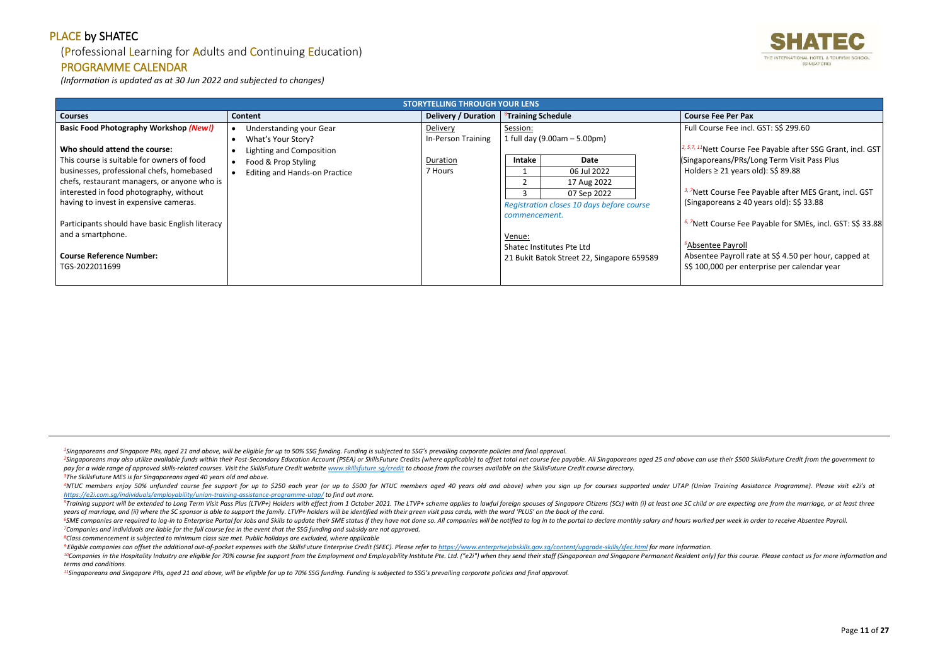## (Professional Learning for Adults and Continuing Education)

#### PROGRAMME CALENDAR

*(Information is updated as at 30 Jun 2022 and subjected to changes)*

<sup>2</sup>Singaporeans may also utilize available funds within their Post-Secondary Education Account (PSEA) or SkillsFuture Credits (where applicable) to offset total net course fee payable. All Singaporeans aged 25 and above ca pay for a wide range of approved skills-related courses. Visit the SkillsFuture Credit website www.skillsfuture.sa/credit to choose from the courses available on the SkillsFuture Credit course directory. *<sup>3</sup>The SkillsFuture MES is for Singaporeans aged 40 years old and above.*

<sup>4</sup>NTUC members enjoy 50% unfunded course fee support for up to \$250 each year (or up to \$500 for NTUC members aged 40 years old and above) when you sign up for courses supported under UTAP (Union Training Assistance Progr *<https://e2i.com.sg/individuals/employability/union-training-assistance-programme-utap/> to find out more.* 

<sup>5</sup>Training support will be extended to Long Term Visit Pass Plus (LTVP+) Holders with effect from 1 October 2021. The LTVP+ scheme applies to lawful foreign spouses of Singapore Citizens (SCs) with (i) at least one SC chi *years of marriage, and (ii) where the SC sponsor is able to support the family. LTVP+ holders will be identified with their green visit pass cards, with the word 'PLUS' on the back of the card.*

<sup>6</sup>SME companies are required to log-in to Enterprise Portal for Jobs and Skills to update their SME status if they have not done so. All companies will be notified to log in to the portal to declare monthly salary and hou *<sup>7</sup>Companies and individuals are liable for the full course fee in the event that the SSG funding and subsidy are not approved.*

<sup>9</sup> Eligible companies can offset the additional out-of-pocket expenses with the SkillsFuture Enterprise Credit (SFEC). Please refer to https://www.enterpriseiobskills.gov.sa/content/uparade-skills/sfec.html for more infor <sup>10</sup>Companies in the Hospitality Industry are eligible for 70% course fee support from the Employment and Employability Institute Pte. Ltd. ("e2i") when they send their staff (Singaporean and Singapore Permanent Resident o *terms and conditions.*

*3 Jurse Fee Payable after MES Grant, incl. GST* (Singaporeans ≥ 40 years old): S\$ 33.88

*6* Payable for SMEs, incl. GST: S\$ 33.88

**e** Payroll Payroll rate at S\$ 4.50 per hour, capped at 00 per enterprise per calendar year

*<sup>8</sup>Class commencement is subjected to minimum class size met. Public holidays are excluded, where applicable*

*<sup>11</sup>Singaporeans and Singapore PRs, aged 21 and above, will be eligible for up to 70% SSG funding. Funding is subjected to SSG's prevailing corporate policies and final approval.*



e Fee incl. GST: S\$ 299.60

**2,** *5,7, 2001 Course Fee Payable after SSG Grant, incl. GST* ans/PRs/Long Term Visit Pass Plus 21 years old): S\$ 89.88

|                                                 |                                      | <b>STORYTELLING THROUGH YOUR LENS</b> |                                |                                            |  |                                 |
|-------------------------------------------------|--------------------------------------|---------------------------------------|--------------------------------|--------------------------------------------|--|---------------------------------|
| <b>Courses</b>                                  | <b>Content</b>                       | Delivery / Duration                   | <sup>8</sup> Training Schedule |                                            |  | <b>Course Fee Per Pax</b>       |
| <b>Basic Food Photography Workshop (New!)</b>   | Understanding your Gear              | Delivery                              | Session:                       |                                            |  | Full Course Fee incl            |
|                                                 | What's Your Story?                   | In-Person Training                    |                                | 1 full day (9.00am - 5.00pm)               |  |                                 |
| Who should attend the course:                   | Lighting and Composition             |                                       |                                |                                            |  | $2, 5, 7, 11$ Nett Course Fr    |
| This course is suitable for owners of food      | Food & Prop Styling                  | Duration                              | Intake                         | Date                                       |  | (Singaporeans/PRs/L             |
| businesses, professional chefs, homebased       | <b>Editing and Hands-on Practice</b> | 7 Hours                               |                                | 06 Jul 2022                                |  | Holders $\geq$ 21 years         |
| chefs, restaurant managers, or anyone who is    |                                      |                                       |                                | 17 Aug 2022                                |  |                                 |
| interested in food photography, without         |                                      |                                       |                                | 07 Sep 2022                                |  | <sup>3, 7</sup> Nett Course Fee |
| having to invest in expensive cameras.          |                                      |                                       |                                | Registration closes 10 days before course  |  | (Singaporeans $\geq 40$         |
|                                                 |                                      |                                       | commencement.                  |                                            |  |                                 |
| Participants should have basic English literacy |                                      |                                       |                                |                                            |  | <sup>6, 7</sup> Nett Course Fee |
| and a smartphone.                               |                                      |                                       | Venue:                         |                                            |  |                                 |
|                                                 |                                      |                                       |                                | Shatec Institutes Pte Ltd                  |  | <sup>6</sup> Absentee Payroll   |
| <b>Course Reference Number:</b>                 |                                      |                                       |                                | 21 Bukit Batok Street 22, Singapore 659589 |  | Absentee Payroll ra             |
| TGS-2022011699                                  |                                      |                                       |                                |                                            |  | S\$ 100,000 per ent             |
|                                                 |                                      |                                       |                                |                                            |  |                                 |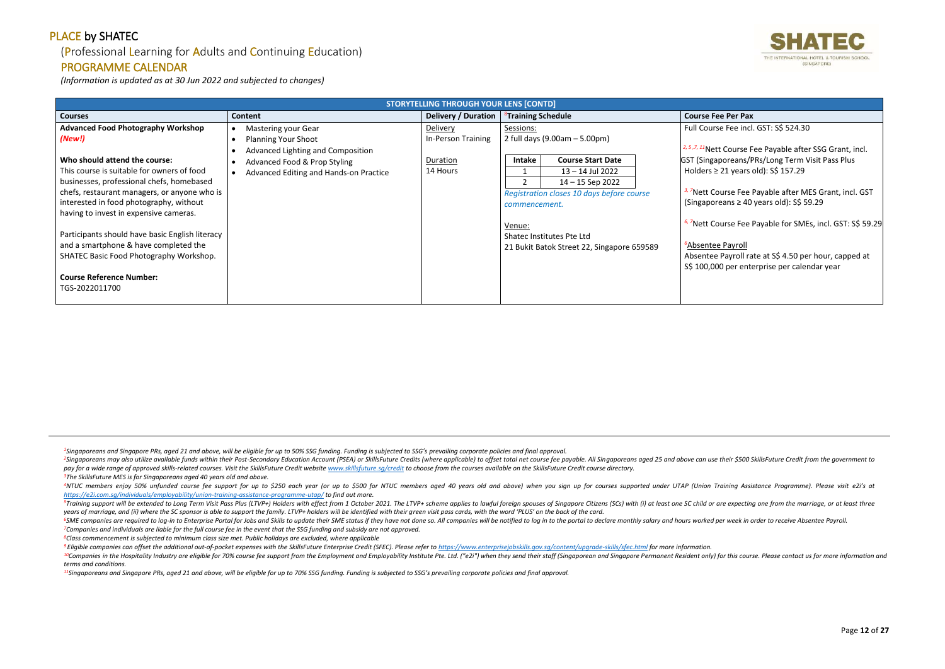## (Professional Learning for Adults and Continuing Education)

#### PROGRAMME CALENDAR

*(Information is updated as at 30 Jun 2022 and subjected to changes)*

<sup>2</sup>Singaporeans may also utilize available funds within their Post-Secondary Education Account (PSEA) or SkillsFuture Credits (where applicable) to offset total net course fee payable. All Singaporeans aged 25 and above ca pay for a wide range of approved skills-related courses. Visit the SkillsFuture Credit website www.skillsfuture.sa/credit to choose from the courses available on the SkillsFuture Credit course directory. *<sup>3</sup>The SkillsFuture MES is for Singaporeans aged 40 years old and above.*

<sup>6</sup>SME companies are required to log-in to Enterprise Portal for Jobs and Skills to update their SME status if they have not done so. All companies will be notified to log in to the portal to declare monthly salary and hou *<sup>7</sup>Companies and individuals are liable for the full course fee in the event that the SSG funding and subsidy are not approved.*

*3 Jurse Fee Payable after MES Grant, incl. GST* (Singaporeans ≥ 40 years old): S\$ 59.29

**burse Fee Payable for SMEs, incl. GST: S\$ 59.29** 

Payroll rate at S\$ 4.50 per hour, capped at 00 per enterprise per calendar year

*<sup>8</sup>Class commencement is subjected to minimum class size met. Public holidays are excluded, where applicable*

*<sup>11</sup>Singaporeans and Singapore PRs, aged 21 and above, will be eligible for up to 70% SSG funding. Funding is subjected to SSG's prevailing corporate policies and final approval.*



fee incl. GST: S\$ 524.30

*E* 2, *Lee Payable after SSG Grant, incl.* poreans/PRs/Long Term Visit Pass Plus 21 years old): S\$ 157.29

|                                                 |                                         | <b>STORYTELLING THROUGH YOUR LENS [CONTD]</b> |                                            |                                 |
|-------------------------------------------------|-----------------------------------------|-----------------------------------------------|--------------------------------------------|---------------------------------|
| <b>Courses</b>                                  | Content                                 | Delivery / Duration                           | <sup>8</sup> Training Schedule             | <b>Course Fee Per Pax</b>       |
| <b>Advanced Food Photography Workshop</b>       | <b>Mastering your Gear</b>              | <b>Delivery</b>                               | Sessions:                                  | <b>Full Course Fee incl</b>     |
| (New!)                                          | <b>Planning Your Shoot</b><br>$\bullet$ | In-Person Training                            | 2 full days $(9.00am - 5.00pm)$            |                                 |
|                                                 | Advanced Lighting and Composition       |                                               |                                            | $2, 5, 7, 11$ Nett Course F     |
| Who should attend the course:                   | <b>Advanced Food &amp; Prop Styling</b> | Duration                                      | <b>Course Start Date</b><br><b>Intake</b>  | <b>GST (Singaporeans/F</b>      |
| This course is suitable for owners of food      | Advanced Editing and Hands-on Practice  | 14 Hours                                      | $13 - 14$ Jul 2022                         | Holders $\geq$ 21 years         |
| businesses, professional chefs, homebased       |                                         |                                               | $14 - 15$ Sep 2022                         |                                 |
| chefs, restaurant managers, or anyone who is    |                                         |                                               | Registration closes 10 days before course  | <sup>3, 7</sup> Nett Course Fee |
| interested in food photography, without         |                                         |                                               | commencement.                              | (Singaporeans $\geq 40$         |
| having to invest in expensive cameras.          |                                         |                                               |                                            |                                 |
|                                                 |                                         |                                               | Venue:                                     | <sup>6, 7</sup> Nett Course Fee |
| Participants should have basic English literacy |                                         |                                               | Shatec Institutes Pte Ltd                  |                                 |
| and a smartphone & have completed the           |                                         |                                               | 21 Bukit Batok Street 22, Singapore 659589 | <sup>6</sup> Absentee Payroll   |
| SHATEC Basic Food Photography Workshop.         |                                         |                                               |                                            | Absentee Payroll ra             |
|                                                 |                                         |                                               |                                            | S\$ 100,000 per ent             |
| <b>Course Reference Number:</b>                 |                                         |                                               |                                            |                                 |
| TGS-2022011700                                  |                                         |                                               |                                            |                                 |
|                                                 |                                         |                                               |                                            |                                 |

<sup>&</sup>lt;sup>4</sup>NTUC members enjoy 50% unfunded course fee support for up to \$250 each year (or up to \$500 for NTUC members aged 40 years old and above) when you sign up for courses supported under UTAP (Union Training Assistance Progr *<https://e2i.com.sg/individuals/employability/union-training-assistance-programme-utap/> to find out more.* 

<sup>&</sup>lt;sup>5</sup>Training support will be extended to Long Term Visit Pass Plus (LTVP+) Holders with effect from 1 October 2021. The LTVP+ scheme applies to lawful foreign spouses of Singapore Citizens (SCs) with (i) at least one SC chi *years of marriage, and (ii) where the SC sponsor is able to support the family. LTVP+ holders will be identified with their green visit pass cards, with the word 'PLUS' on the back of the card.*

<sup>&</sup>lt;sup>9</sup> Eligible companies can offset the additional out-of-pocket expenses with the SkillsFuture Enterprise Credit (SFEC). Please refer to https://www.enterpriseiobskills.gov.sa/content/uparade-skills/sfec.html for more infor <sup>10</sup>Companies in the Hospitality Industry are eligible for 70% course fee support from the Employment and Employability Institute Pte. Ltd. ("e2i") when they send their staff (Singaporean and Singapore Permanent Resident o *terms and conditions.*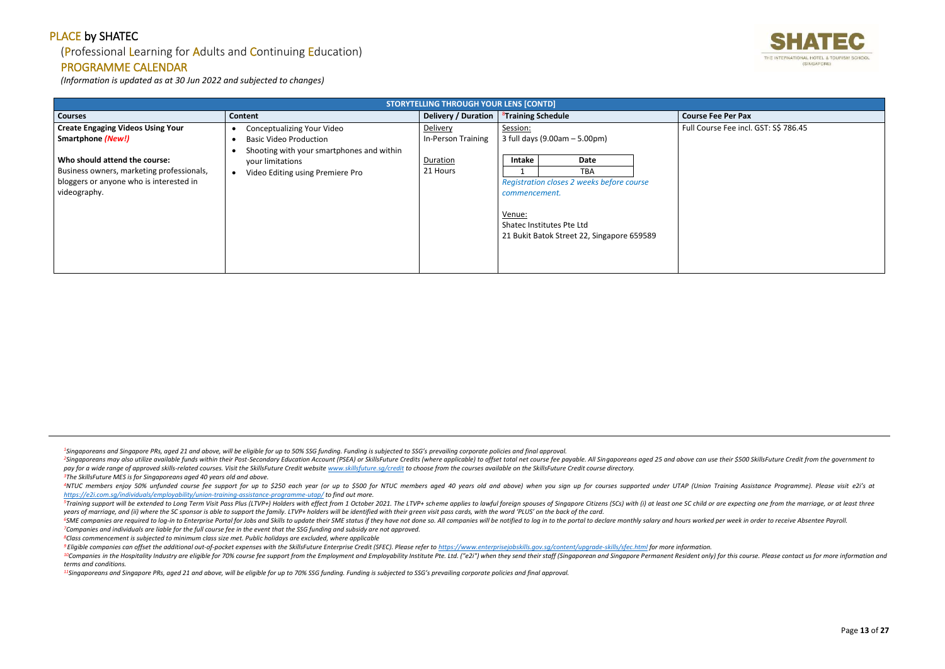## (Professional Learning for Adults and Continuing Education)

#### PROGRAMME CALENDAR

*(Information is updated as at 30 Jun 2022 and subjected to changes)*

<sup>2</sup>Singaporeans may also utilize available funds within their Post-Secondary Education Account (PSEA) or SkillsFuture Credits (where applicable) to offset total net course fee payable. All Singaporeans aged 25 and above ca pay for a wide range of approved skills-related courses. Visit the SkillsFuture Credit website www.skillsfuture.sa/credit to choose from the courses available on the SkillsFuture Credit course directory. *<sup>3</sup>The SkillsFuture MES is for Singaporeans aged 40 years old and above.*

<sup>4</sup>NTUC members enjoy 50% unfunded course fee support for up to \$250 each year (or up to \$500 for NTUC members aged 40 years old and above) when you sign up for courses supported under UTAP (Union Training Assistance Progr *<https://e2i.com.sg/individuals/employability/union-training-assistance-programme-utap/> to find out more.* 

<sup>5</sup>Training support will be extended to Long Term Visit Pass Plus (LTVP+) Holders with effect from 1 October 2021. The LTVP+ scheme applies to lawful foreign spouses of Singapore Citizens (SCs) with (i) at least one SC chi *years of marriage, and (ii) where the SC sponsor is able to support the family. LTVP+ holders will be identified with their green visit pass cards, with the word 'PLUS' on the back of the card.*

<sup>6</sup>SME companies are required to log-in to Enterprise Portal for Jobs and Skills to update their SME status if they have not done so. All companies will be notified to log in to the portal to declare monthly salary and hou *<sup>7</sup>Companies and individuals are liable for the full course fee in the event that the SSG funding and subsidy are not approved.*

<sup>9</sup> Eligible companies can offset the additional out-of-pocket expenses with the SkillsFuture Enterprise Credit (SFEC). Please refer to https://www.enterpriseiobskills.gov.sa/content/uparade-skills/sfec.html for more infor <sup>10</sup>Companies in the Hospitality Industry are eligible for 70% course fee support from the Employment and Employability Institute Pte. Ltd. ("e2i") when they send their staff (Singaporean and Singapore Permanent Resident o *terms and conditions.*

*<sup>8</sup>Class commencement is subjected to minimum class size met. Public holidays are excluded, where applicable*

*<sup>11</sup>Singaporeans and Singapore PRs, aged 21 and above, will be eligible for up to 70% SSG funding. Funding is subjected to SSG's prevailing corporate policies and final approval.*



se Fee incl. GST: S\$ 786.45

|                                           | <b>STORYTELLING THROUGH YOUR LENS [CONTD]</b> |                     |                                |                                            |  |                           |
|-------------------------------------------|-----------------------------------------------|---------------------|--------------------------------|--------------------------------------------|--|---------------------------|
| <b>Courses</b>                            | Content                                       | Delivery / Duration | <sup>8</sup> Training Schedule |                                            |  | <b>Course Fee Per Pax</b> |
| <b>Create Engaging Videos Using Your</b>  | <b>Conceptualizing Your Video</b>             | Delivery            | Session:                       |                                            |  | Full Course Fee incl      |
| <b>Smartphone (New!)</b>                  | <b>Basic Video Production</b>                 | In-Person Training  |                                | 3 full days (9.00am - 5.00pm)              |  |                           |
|                                           | Shooting with your smartphones and within     |                     |                                |                                            |  |                           |
| Who should attend the course:             | your limitations                              | Duration            | Intake                         | Date                                       |  |                           |
| Business owners, marketing professionals, | Video Editing using Premiere Pro              | 21 Hours            |                                | TBA                                        |  |                           |
| bloggers or anyone who is interested in   |                                               |                     |                                | Registration closes 2 weeks before course  |  |                           |
| videography.                              |                                               |                     | commencement.                  |                                            |  |                           |
|                                           |                                               |                     |                                |                                            |  |                           |
|                                           |                                               |                     | Venue:                         |                                            |  |                           |
|                                           |                                               |                     |                                | Shatec Institutes Pte Ltd                  |  |                           |
|                                           |                                               |                     |                                | 21 Bukit Batok Street 22, Singapore 659589 |  |                           |
|                                           |                                               |                     |                                |                                            |  |                           |
|                                           |                                               |                     |                                |                                            |  |                           |
|                                           |                                               |                     |                                |                                            |  |                           |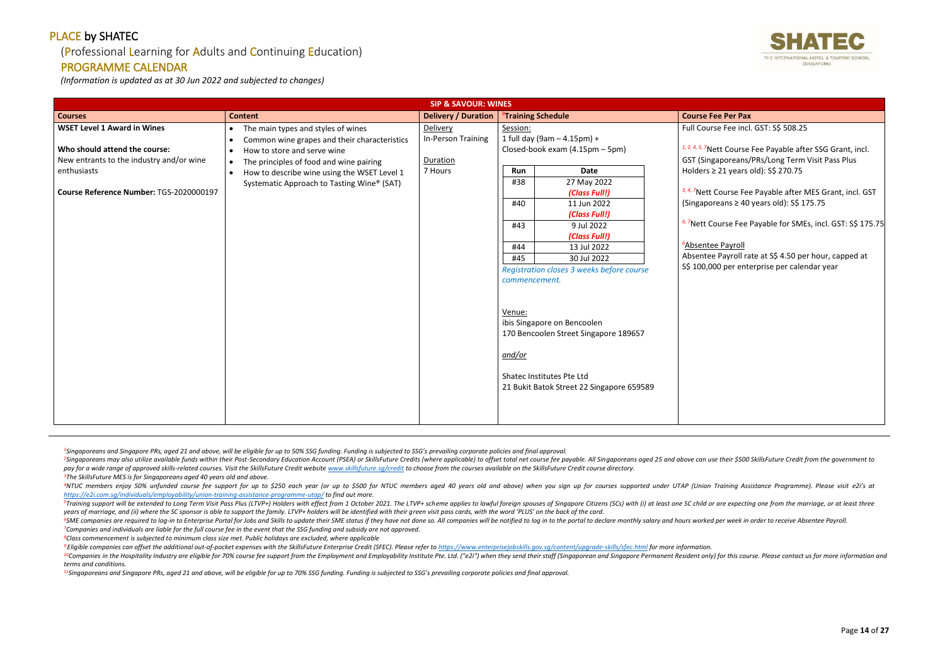## (Professional Learning for Adults and Continuing Education)

#### PROGRAMME CALENDAR

*(Information is updated as at 30 Jun 2022 and subjected to changes)*

<sup>2</sup>Singaporeans may also utilize available funds within their Post-Secondary Education Account (PSEA) or SkillsFuture Credits (where applicable) to offset total net course fee payable. All Singaporeans aged 25 and above ca pay for a wide range of approved skills-related courses. Visit the SkillsFuture Credit website www.skillsfuture.sa/credit to choose from the courses available on the SkillsFuture Credit course directory. *<sup>3</sup>The SkillsFuture MES is for Singaporeans aged 40 years old and above.*

<sup>4</sup>NTUC members enjoy 50% unfunded course fee support for up to \$250 each year (or up to \$500 for NTUC members aged 40 years old and above) when you sign up for courses supported under UTAP (Union Training Assistance Progr *<https://e2i.com.sg/individuals/employability/union-training-assistance-programme-utap/> to find out more.* 

<sup>5</sup>Training support will be extended to Long Term Visit Pass Plus (LTVP+) Holders with effect from 1 October 2021. The LTVP+ scheme applies to lawful foreign spouses of Singapore Citizens (SCs) with (i) at least one SC chi *years of marriage, and (ii) where the SC sponsor is able to support the family. LTVP+ holders will be identified with their green visit pass cards, with the word 'PLUS' on the back of the card.*

<sup>6</sup>SME companies are required to log-in to Enterprise Portal for Jobs and Skills to update their SME status if they have not done so. All companies will be notified to log in to the portal to declare monthly salary and hou *<sup>7</sup>Companies and individuals are liable for the full course fee in the event that the SSG funding and subsidy are not approved.*

<sup>9</sup> Eligible companies can offset the additional out-of-pocket expenses with the SkillsFuture Enterprise Credit (SFEC). Please refer to https://www.enterpriseiobskills.gov.sa/content/uparade-skills/sfec.html for more infor <sup>10</sup>Companies in the Hospitality Industry are eligible for 70% course fee support from the Employment and Employability Institute Pte. Ltd. ("e2i") when they send their staff (Singaporean and Singapore Permanent Resident o *terms and conditions.*

*<sup>8</sup>Class commencement is subjected to minimum class size met. Public holidays are excluded, where applicable*

*<sup>11</sup>Singaporeans and Singapore PRs, aged 21 and above, will be eligible for up to 70% SSG funding. Funding is subjected to SSG's prevailing corporate policies and final approval.*



# se Fee incl. GST: S\$ 508.25 *Ptt Course Fee Payable after SSG Grant, incl.* aporeans/PRs/Long Term Visit Pass Plus 21 years old): S\$ 270.75 Course Fee Payable after MES Grant, incl. GST (Singaporeans ≥ 40 years old): S\$ 175.75 *6, <sup>7</sup>*Nett Course Fee Payable for SMEs, incl. GST: S\$ 175.75 **e** Payroll Payroll rate at S\$ 4.50 per hour, capped at 00 per enterprise per calendar year

| <b>SIP &amp; SAVOUR: WINES</b>                                                                                                                                            |                                                                                                                                                                                                                                                                                                               |                                                       |                                                                                                                                                                                                                                                                                                                                                                                                                                                                                                      |                                                                                                                                                                                                                                                                          |
|---------------------------------------------------------------------------------------------------------------------------------------------------------------------------|---------------------------------------------------------------------------------------------------------------------------------------------------------------------------------------------------------------------------------------------------------------------------------------------------------------|-------------------------------------------------------|------------------------------------------------------------------------------------------------------------------------------------------------------------------------------------------------------------------------------------------------------------------------------------------------------------------------------------------------------------------------------------------------------------------------------------------------------------------------------------------------------|--------------------------------------------------------------------------------------------------------------------------------------------------------------------------------------------------------------------------------------------------------------------------|
| <b>Courses</b>                                                                                                                                                            | <b>Content</b>                                                                                                                                                                                                                                                                                                | <b>Delivery / Duration</b>                            | <sup>8</sup> Training Schedule                                                                                                                                                                                                                                                                                                                                                                                                                                                                       | <b>Course Fee Per Pax</b>                                                                                                                                                                                                                                                |
| <b>WSET Level 1 Award in Wines</b><br>Who should attend the course:<br>New entrants to the industry and/or wine<br>enthusiasts<br>Course Reference Number: TGS-2020000197 | The main types and styles of wines<br>$\bullet$<br>Common wine grapes and their characteristics<br>$\bullet$<br>How to store and serve wine<br>$\bullet$<br>The principles of food and wine pairing<br>$\bullet$<br>How to describe wine using the WSET Level 1<br>Systematic Approach to Tasting Wine® (SAT) | Delivery<br>In-Person Training<br>Duration<br>7 Hours | Session:<br>1 full day (9am - 4.15pm) +<br>Closed-book exam (4.15pm - 5pm)<br><b>Date</b><br>Run<br>#38<br>27 May 2022<br>(Class Full!)<br>#40<br>11 Jun 2022<br>(Class Full!)<br>#43<br>9 Jul 2022<br>(Class Full!)<br>#44<br>13 Jul 2022<br>30 Jul 2022<br>#45<br>Registration closes 3 weeks before course<br>commencement.<br>Venue:<br>ibis Singapore on Bencoolen<br>170 Bencoolen Street Singapore 189657<br>and/or<br>Shatec Institutes Pte Ltd<br>21 Bukit Batok Street 22 Singapore 659589 | Full Course Fee incl<br>1, 2, 4, 5, 7Nett Course<br>GST (Singaporeans/<br>Holders $\geq$ 21 years<br>3, 4, 7Nett Course Fee<br>(Singaporeans $\geq 40$<br><sup>6, 7</sup> Nett Course Fee<br><sup>6</sup> Absentee Payroll<br>Absentee Payroll ra<br>S\$ 100,000 per ent |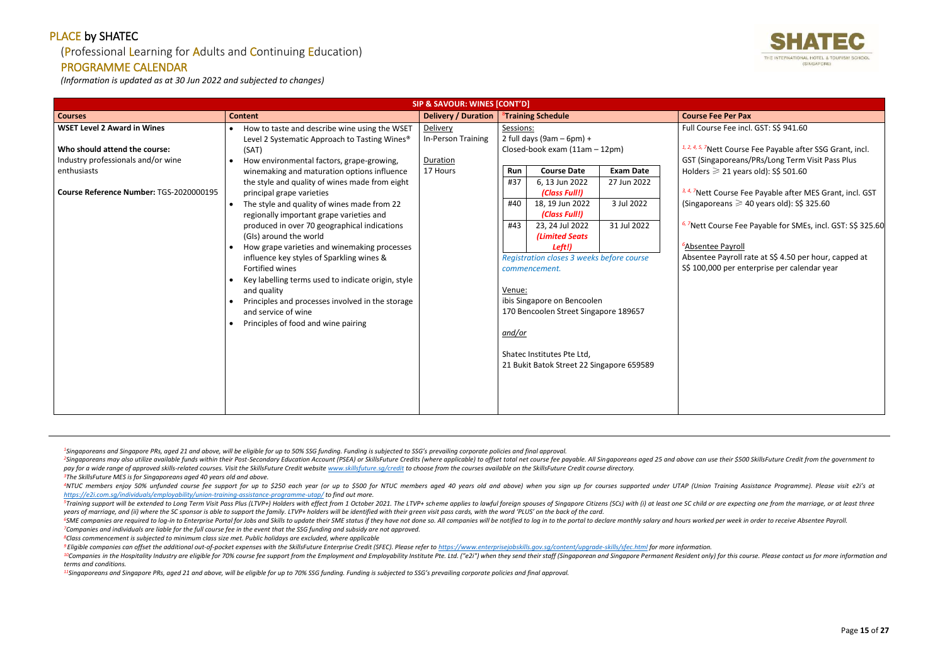## (Professional Learning for Adults and Continuing Education)

#### PROGRAMME CALENDAR

*(Information is updated as at 30 Jun 2022 and subjected to changes)*

<sup>2</sup>Singaporeans may also utilize available funds within their Post-Secondary Education Account (PSEA) or SkillsFuture Credits (where applicable) to offset total net course fee payable. All Singaporeans aged 25 and above ca pay for a wide range of approved skills-related courses. Visit the SkillsFuture Credit website www.skillsfuture.sa/credit to choose from the courses available on the SkillsFuture Credit course directory. *<sup>3</sup>The SkillsFuture MES is for Singaporeans aged 40 years old and above.*

<sup>4</sup>NTUC members enjoy 50% unfunded course fee support for up to \$250 each year (or up to \$500 for NTUC members aged 40 years old and above) when you sign up for courses supported under UTAP (Union Training Assistance Progr *<https://e2i.com.sg/individuals/employability/union-training-assistance-programme-utap/> to find out more.* 

<sup>5</sup>Training support will be extended to Long Term Visit Pass Plus (LTVP+) Holders with effect from 1 October 2021. The LTVP+ scheme applies to lawful foreign spouses of Singapore Citizens (SCs) with (i) at least one SC chi *years of marriage, and (ii) where the SC sponsor is able to support the family. LTVP+ holders will be identified with their green visit pass cards, with the word 'PLUS' on the back of the card.*

<sup>6</sup>SME companies are required to log-in to Enterprise Portal for Jobs and Skills to update their SME status if they have not done so. All companies will be notified to log in to the portal to declare monthly salary and hou *<sup>7</sup>Companies and individuals are liable for the full course fee in the event that the SSG funding and subsidy are not approved.*

<sup>9</sup> Eligible companies can offset the additional out-of-pocket expenses with the SkillsFuture Enterprise Credit (SFEC). Please refer to https://www.enterpriseiobskills.gov.sa/content/uparade-skills/sfec.html for more infor <sup>10</sup>Companies in the Hospitality Industry are eligible for 70% course fee support from the Employment and Employability Institute Pte. Ltd. ("e2i") when they send their staff (Singaporean and Singapore Permanent Resident o *terms and conditions.*

*<sup>8</sup>Class commencement is subjected to minimum class size met. Public holidays are excluded, where applicable*

*<sup>11</sup>Singaporeans and Singapore PRs, aged 21 and above, will be eligible for up to 70% SSG funding. Funding is subjected to SSG's prevailing corporate policies and final approval.*



# se Fee incl. GST: S\$ 941.60 *Ptt Course Fee Payable after SSG Grant, incl.* aporeans/PRs/Long Term Visit Pass Plus  $\geqslant$  21 years old): SS 501.60 Course Fee Payable after MES Grant, incl. GST  $r$ eans  $\geqslant$  40 years old): S\$ 325.60 *6, <sup>7</sup>*Nett Course Fee Payable for SMEs, incl. GST: S\$ 325.60 **e** Payroll Payroll rate at S\$ 4.50 per hour, capped at 00 per enterprise per calendar year

|                                                                                                                                                                     | SIP & SAVOUR: WINES [CONT'D]                                                                                                                                                                                                                                                                                                                                                                                                                                                                                                                                                                                                                                                                                                                                               |                                                        |                                                                                                                                                                                                                                                                                                                                                                                                                                                                                                                                                                 |                                                                                                                                                                                                                                                                                     |  |
|---------------------------------------------------------------------------------------------------------------------------------------------------------------------|----------------------------------------------------------------------------------------------------------------------------------------------------------------------------------------------------------------------------------------------------------------------------------------------------------------------------------------------------------------------------------------------------------------------------------------------------------------------------------------------------------------------------------------------------------------------------------------------------------------------------------------------------------------------------------------------------------------------------------------------------------------------------|--------------------------------------------------------|-----------------------------------------------------------------------------------------------------------------------------------------------------------------------------------------------------------------------------------------------------------------------------------------------------------------------------------------------------------------------------------------------------------------------------------------------------------------------------------------------------------------------------------------------------------------|-------------------------------------------------------------------------------------------------------------------------------------------------------------------------------------------------------------------------------------------------------------------------------------|--|
| <b>Courses</b>                                                                                                                                                      | <b>Content</b>                                                                                                                                                                                                                                                                                                                                                                                                                                                                                                                                                                                                                                                                                                                                                             | <b>Delivery / Duration</b>                             | <sup>8</sup> Training Schedule                                                                                                                                                                                                                                                                                                                                                                                                                                                                                                                                  | <b>Course Fee Per Pax</b>                                                                                                                                                                                                                                                           |  |
| <b>WSET Level 2 Award in Wines</b><br>Who should attend the course:<br>Industry professionals and/or wine<br>enthusiasts<br>Course Reference Number: TGS-2020000195 | How to taste and describe wine using the WSET<br>Level 2 Systematic Approach to Tasting Wines <sup>®</sup><br>(SAT)<br>How environmental factors, grape-growing,<br>winemaking and maturation options influence<br>the style and quality of wines made from eight<br>principal grape varieties<br>The style and quality of wines made from 22<br>regionally important grape varieties and<br>produced in over 70 geographical indications<br>(GIs) around the world<br>How grape varieties and winemaking processes<br>influence key styles of Sparkling wines &<br>Fortified wines<br>Key labelling terms used to indicate origin, style<br>and quality<br>Principles and processes involved in the storage<br>and service of wine<br>Principles of food and wine pairing | Delivery<br>In-Person Training<br>Duration<br>17 Hours | Sessions:<br>2 full days (9am $-$ 6pm) +<br>Closed-book exam (11am - 12pm)<br><b>Course Date</b><br><b>Exam Date</b><br>Run<br>6, 13 Jun 2022<br>#37<br>27 Jun 2022<br>(Class Full!)<br>18, 19 Jun 2022<br>3 Jul 2022<br>#40<br>(Class Full!)<br>31 Jul 2022<br>23, 24 Jul 2022<br>#43<br><b>(Limited Seats)</b><br>Left!)<br>Registration closes 3 weeks before course<br>commencement.<br>Venue:<br>ibis Singapore on Bencoolen<br>170 Bencoolen Street Singapore 189657<br>and/or<br>Shatec Institutes Pte Ltd,<br>21 Bukit Batok Street 22 Singapore 659589 | <b>Full Course Fee incl</b><br>1, 2, 4, 5, 7Nett Course<br>GST (Singaporeans/<br>Holders $\geqslant$ 21 years<br>3, 4, 7Nett Course Fee<br>(Singaporeans $\geq 4$<br><sup>6, 7</sup> Nett Course Fee<br><sup>6</sup> Absentee Payroll<br>Absentee Payroll ra<br>S\$ 100,000 per ent |  |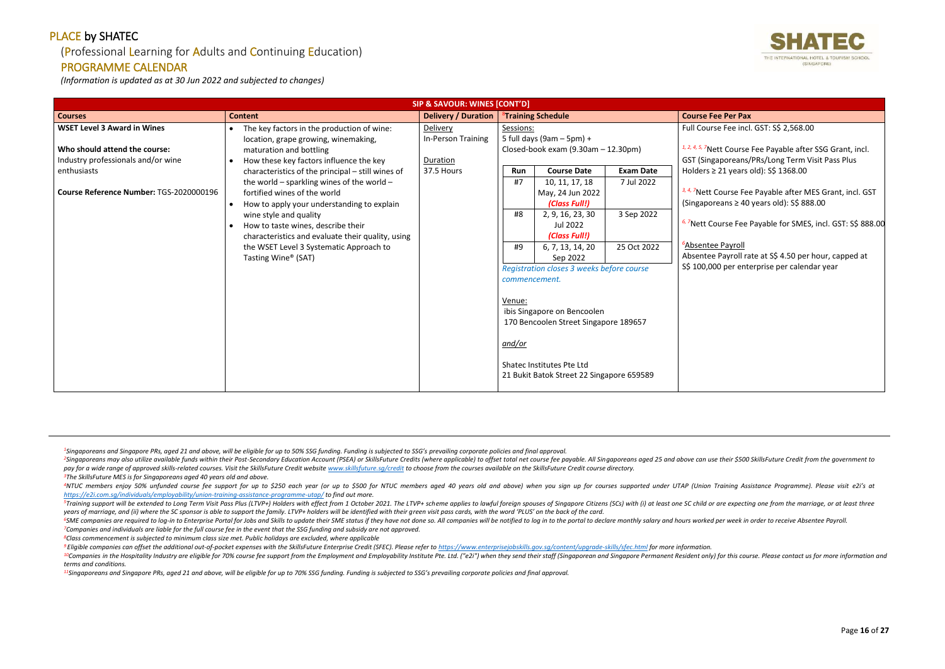## (Professional Learning for Adults and Continuing Education)

#### PROGRAMME CALENDAR

*(Information is updated as at 30 Jun 2022 and subjected to changes)*

<sup>2</sup>Singaporeans may also utilize available funds within their Post-Secondary Education Account (PSEA) or SkillsFuture Credits (where applicable) to offset total net course fee payable. All Singaporeans aged 25 and above ca pay for a wide range of approved skills-related courses. Visit the SkillsFuture Credit website www.skillsfuture.sa/credit to choose from the courses available on the SkillsFuture Credit course directory. *<sup>3</sup>The SkillsFuture MES is for Singaporeans aged 40 years old and above.*

<sup>4</sup>NTUC members enjoy 50% unfunded course fee support for up to \$250 each year (or up to \$500 for NTUC members aged 40 years old and above) when you sign up for courses supported under UTAP (Union Training Assistance Progr *<https://e2i.com.sg/individuals/employability/union-training-assistance-programme-utap/> to find out more.* 

<sup>5</sup>Training support will be extended to Long Term Visit Pass Plus (LTVP+) Holders with effect from 1 October 2021. The LTVP+ scheme applies to lawful foreign spouses of Singapore Citizens (SCs) with (i) at least one SC chi *years of marriage, and (ii) where the SC sponsor is able to support the family. LTVP+ holders will be identified with their green visit pass cards, with the word 'PLUS' on the back of the card.*

<sup>6</sup>SME companies are required to log-in to Enterprise Portal for Jobs and Skills to update their SME status if they have not done so. All companies will be notified to log in to the portal to declare monthly salary and hou *<sup>7</sup>Companies and individuals are liable for the full course fee in the event that the SSG funding and subsidy are not approved.*

<sup>9</sup> Eligible companies can offset the additional out-of-pocket expenses with the SkillsFuture Enterprise Credit (SFEC). Please refer to https://www.enterpriseiobskills.gov.sa/content/uparade-skills/sfec.html for more infor <sup>10</sup>Companies in the Hospitality Industry are eligible for 70% course fee support from the Employment and Employability Institute Pte. Ltd. ("e2i") when they send their staff (Singaporean and Singapore Permanent Resident o *terms and conditions.*

*<sup>8</sup>Class commencement is subjected to minimum class size met. Public holidays are excluded, where applicable*

*<sup>11</sup>Singaporeans and Singapore PRs, aged 21 and above, will be eligible for up to 70% SSG funding. Funding is subjected to SSG's prevailing corporate policies and final approval.*



# se Fee incl. GST: S\$ 2,568.00 *Ptt Course Fee Payable after SSG Grant, incl.* aporeans/PRs/Long Term Visit Pass Plus 21 years old): S\$ 1368.00 Course Fee Payable after MES Grant, incl. GST (Singaporeans ≥ 40 years old): S\$ 888.00 *6, <sup>7</sup>*Nett Course Fee Payable for SMES, incl. GST: S\$ 888.00 **e** Payroll Payroll rate at S\$ 4.50 per hour, capped at 00 per enterprise per calendar year

|                                                                                                                                                                     | SIP & SAVOUR: WINES [CONT'D]                                                                                                                                                                                                                                                                                                                                                                                                                                                                                                                  |                                                          |                                                                                                                                                                                                                                                                                                                                                                                                                                              |                                                                                                                                                                                                                                                                                                              |  |
|---------------------------------------------------------------------------------------------------------------------------------------------------------------------|-----------------------------------------------------------------------------------------------------------------------------------------------------------------------------------------------------------------------------------------------------------------------------------------------------------------------------------------------------------------------------------------------------------------------------------------------------------------------------------------------------------------------------------------------|----------------------------------------------------------|----------------------------------------------------------------------------------------------------------------------------------------------------------------------------------------------------------------------------------------------------------------------------------------------------------------------------------------------------------------------------------------------------------------------------------------------|--------------------------------------------------------------------------------------------------------------------------------------------------------------------------------------------------------------------------------------------------------------------------------------------------------------|--|
| <b>Courses</b>                                                                                                                                                      | <b>Content</b>                                                                                                                                                                                                                                                                                                                                                                                                                                                                                                                                | Delivery / Duration                                      | <sup>8</sup> Training Schedule                                                                                                                                                                                                                                                                                                                                                                                                               |                                                                                                                                                                                                                                                                                                              |  |
| <b>WSET Level 3 Award in Wines</b><br>Who should attend the course:<br>Industry professionals and/or wine<br>enthusiasts<br>Course Reference Number: TGS-2020000196 | The key factors in the production of wine:<br>$\bullet$<br>location, grape growing, winemaking,<br>maturation and bottling<br>How these key factors influence the key<br>characteristics of the principal - still wines of<br>the world - sparkling wines of the world -<br>fortified wines of the world<br>How to apply your understanding to explain<br>wine style and quality<br>How to taste wines, describe their<br>characteristics and evaluate their quality, using<br>the WSET Level 3 Systematic Approach to<br>Tasting Wine® (SAT) | Delivery<br>In-Person Training<br>Duration<br>37.5 Hours | Sessions:<br>5 full days (9am $-$ 5pm) +<br>Closed-book exam (9.30am - 12.30pm)<br><b>Course Date</b><br><b>Exam Date</b><br>Run<br>#7<br>10, 11, 17, 18<br>7 Jul 2022<br>May, 24 Jun 2022<br>(Class Full!)<br>3 Sep 2022<br>#8<br>2, 9, 16, 23, 30<br>Jul 2022<br>(Class Full!)<br>25 Oct 2022<br>#9<br>6, 7, 13, 14, 20<br>Sep 2022<br>Registration closes 3 weeks before course<br>commencement.<br>Venue:<br>ibis Singapore on Bencoolen | <b>Course Fee Per Pax</b><br><b>Full Course Fee incl</b><br>1, 2, 4, 5, 7Nett Course<br>GST (Singaporeans/<br>Holders $\geq$ 21 years<br>3, 4, 7Nett Course Fer<br>(Singaporeans $\geq 40$<br><sup>6, 7</sup> Nett Course Fee<br><sup>5</sup> Absentee Payroll<br>Absentee Payroll ra<br>S\$ 100,000 per ent |  |
|                                                                                                                                                                     |                                                                                                                                                                                                                                                                                                                                                                                                                                                                                                                                               |                                                          | 170 Bencoolen Street Singapore 189657<br>and/or<br>Shatec Institutes Pte Ltd<br>21 Bukit Batok Street 22 Singapore 659589                                                                                                                                                                                                                                                                                                                    |                                                                                                                                                                                                                                                                                                              |  |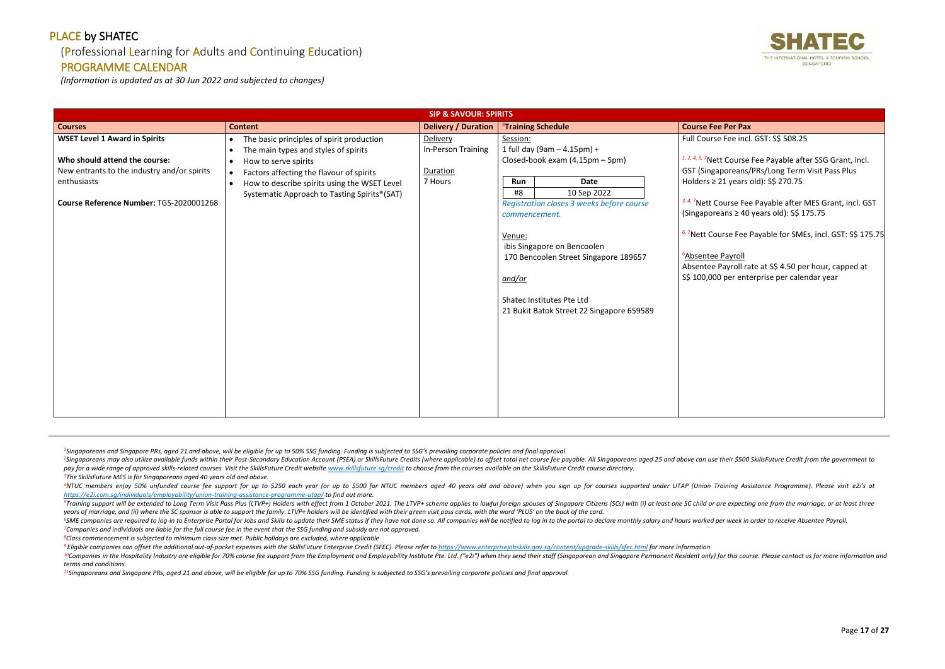#### (Professional Learning for Adults and Continuing Education)

#### PROGRAMME CALENDAR

*(Information is updated as at 30 Jun 2022 and subjected to changes)*

<sup>2</sup>Singaporeans may also utilize available funds within their Post-Secondary Education Account (PSEA) or SkillsFuture Credits (where applicable) to offset total net course fee payable. All Singaporeans aged 25 and above ca pay for a wide range of approved skills-related courses. Visit the SkillsFuture Credit website www.skillsfuture.sa/credit to choose from the courses available on the SkillsFuture Credit course directory. *<sup>3</sup>The SkillsFuture MES is for Singaporeans aged 40 years old and above.*

<sup>4</sup>NTUC members enjoy 50% unfunded course fee support for up to \$250 each year (or up to \$500 for NTUC members aged 40 years old and above) when you sign up for courses supported under UTAP (Union Training Assistance Progr *<https://e2i.com.sg/individuals/employability/union-training-assistance-programme-utap/> to find out more.* 

<sup>5</sup>Training support will be extended to Long Term Visit Pass Plus (LTVP+) Holders with effect from 1 October 2021. The LTVP+ scheme applies to lawful foreign spouses of Singapore Citizens (SCs) with (i) at least one SC chi *years of marriage, and (ii) where the SC sponsor is able to support the family. LTVP+ holders will be identified with their green visit pass cards, with the word 'PLUS' on the back of the card.*

<sup>6</sup>SME companies are required to log-in to Enterprise Portal for Jobs and Skills to update their SME status if they have not done so. All companies will be notified to log in to the portal to declare monthly salary and hou *<sup>7</sup>Companies and individuals are liable for the full course fee in the event that the SSG funding and subsidy are not approved.*

<sup>9</sup> Eligible companies can offset the additional out-of-pocket expenses with the SkillsFuture Enterprise Credit (SFEC). Please refer to https://www.enterpriseiobskills.gov.sa/content/uparade-skills/sfec.html for more infor <sup>10</sup>Companies in the Hospitality Industry are eligible for 70% course fee support from the Employment and Employability Institute Pte. Ltd. ("e2i") when they send their staff (Singaporean and Singapore Permanent Resident o *terms and conditions.*

*<sup>8</sup>Class commencement is subjected to minimum class size met. Public holidays are excluded, where applicable*

*<sup>11</sup>Singaporeans and Singapore PRs, aged 21 and above, will be eligible for up to 70% SSG funding. Funding is subjected to SSG's prevailing corporate policies and final approval.*

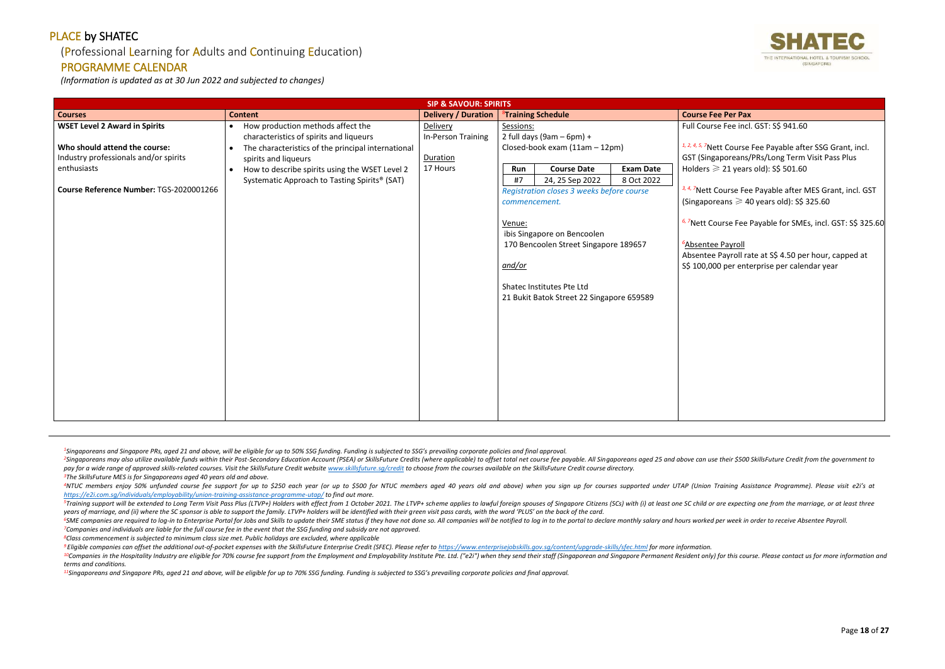## (Professional Learning for Adults and Continuing Education)

#### PROGRAMME CALENDAR

*(Information is updated as at 30 Jun 2022 and subjected to changes)*

<sup>2</sup>Singaporeans may also utilize available funds within their Post-Secondary Education Account (PSEA) or SkillsFuture Credits (where applicable) to offset total net course fee payable. All Singaporeans aged 25 and above ca pay for a wide range of approved skills-related courses. Visit the SkillsFuture Credit website www.skillsfuture.sa/credit to choose from the courses available on the SkillsFuture Credit course directory. *<sup>3</sup>The SkillsFuture MES is for Singaporeans aged 40 years old and above.*

<sup>4</sup>NTUC members enjoy 50% unfunded course fee support for up to \$250 each year (or up to \$500 for NTUC members aged 40 years old and above) when you sign up for courses supported under UTAP (Union Training Assistance Progr *<https://e2i.com.sg/individuals/employability/union-training-assistance-programme-utap/> to find out more.* 

<sup>5</sup>Training support will be extended to Long Term Visit Pass Plus (LTVP+) Holders with effect from 1 October 2021. The LTVP+ scheme applies to lawful foreign spouses of Singapore Citizens (SCs) with (i) at least one SC chi *years of marriage, and (ii) where the SC sponsor is able to support the family. LTVP+ holders will be identified with their green visit pass cards, with the word 'PLUS' on the back of the card.*

<sup>6</sup>SME companies are required to log-in to Enterprise Portal for Jobs and Skills to update their SME status if they have not done so. All companies will be notified to log in to the portal to declare monthly salary and hou *<sup>7</sup>Companies and individuals are liable for the full course fee in the event that the SSG funding and subsidy are not approved.*

<sup>9</sup> Eligible companies can offset the additional out-of-pocket expenses with the SkillsFuture Enterprise Credit (SFEC). Please refer to https://www.enterpriseiobskills.gov.sa/content/uparade-skills/sfec.html for more infor <sup>10</sup>Companies in the Hospitality Industry are eligible for 70% course fee support from the Employment and Employability Institute Pte. Ltd. ("e2i") when they send their staff (Singaporean and Singapore Permanent Resident o *terms and conditions.*

*<sup>8</sup>Class commencement is subjected to minimum class size met. Public holidays are excluded, where applicable*

*<sup>11</sup>Singaporeans and Singapore PRs, aged 21 and above, will be eligible for up to 70% SSG funding. Funding is subjected to SSG's prevailing corporate policies and final approval.*



| <b>Delivery / Duration</b><br><b>Content</b><br><sup>8</sup> Training Schedule<br><b>Course Fee Per Pax</b><br><b>Courses</b><br><b>WSET Level 2 Award in Spirits</b><br>Full Course Fee incl. GST: S\$ 941.60<br>Delivery<br>Sessions:<br>How production methods affect the<br>$\bullet$<br>2 full days (9am $-$ 6pm) +<br>In-Person Training<br>characteristics of spirits and liqueurs<br>Who should attend the course:<br>Closed-book exam (11am - 12pm)<br>The characteristics of the principal international<br>$\bullet$<br>Industry professionals and/or spirits<br>GST (Singaporeans/PRs/Long Term Visit Pass Plus<br>Duration<br>spirits and liqueurs<br>Holders $\geqslant$ 21 years old): S\$ 501.60<br>enthusiasts<br>17 Hours<br><b>Course Date</b><br><b>Exam Date</b><br>How to describe spirits using the WSET Level 2<br>Run<br>$\bullet$<br>8 Oct 2022<br>#7<br>24, 25 Sep 2022<br>Systematic Approach to Tasting Spirits <sup>®</sup> (SAT)<br>Course Reference Number: TGS-2020001266<br>Registration closes 3 weeks before course<br>(Singaporeans $\geqslant$ 40 years old): S\$ 325.60<br>commencement.<br>Venue: | <b>SIP &amp; SAVOUR: SPIRITS</b> |  |  |                             |                                                                                                                                                                                                                                                                                      |  |  |  |
|-------------------------------------------------------------------------------------------------------------------------------------------------------------------------------------------------------------------------------------------------------------------------------------------------------------------------------------------------------------------------------------------------------------------------------------------------------------------------------------------------------------------------------------------------------------------------------------------------------------------------------------------------------------------------------------------------------------------------------------------------------------------------------------------------------------------------------------------------------------------------------------------------------------------------------------------------------------------------------------------------------------------------------------------------------------------------------------------------------------------------------------------|----------------------------------|--|--|-----------------------------|--------------------------------------------------------------------------------------------------------------------------------------------------------------------------------------------------------------------------------------------------------------------------------------|--|--|--|
|                                                                                                                                                                                                                                                                                                                                                                                                                                                                                                                                                                                                                                                                                                                                                                                                                                                                                                                                                                                                                                                                                                                                           |                                  |  |  |                             |                                                                                                                                                                                                                                                                                      |  |  |  |
| 170 Bencoolen Street Singapore 189657<br><sup>6</sup> Absentee Payroll<br>S\$ 100,000 per enterprise per calendar year<br><u>and/or</u><br>Shatec Institutes Pte Ltd<br>21 Bukit Batok Street 22 Singapore 659589                                                                                                                                                                                                                                                                                                                                                                                                                                                                                                                                                                                                                                                                                                                                                                                                                                                                                                                         |                                  |  |  | ibis Singapore on Bencoolen | <sup>1, 2, 4, 5, 7</sup> Nett Course Fee Payable after SSG Grant, incl.<br><sup>3, 4, 7</sup> Nett Course Fee Payable after MES Grant, incl. GST<br><sup>6, 7</sup> Nett Course Fee Payable for SMEs, incl. GST: S\$ 325.60<br>Absentee Payroll rate at S\$ 4.50 per hour, capped at |  |  |  |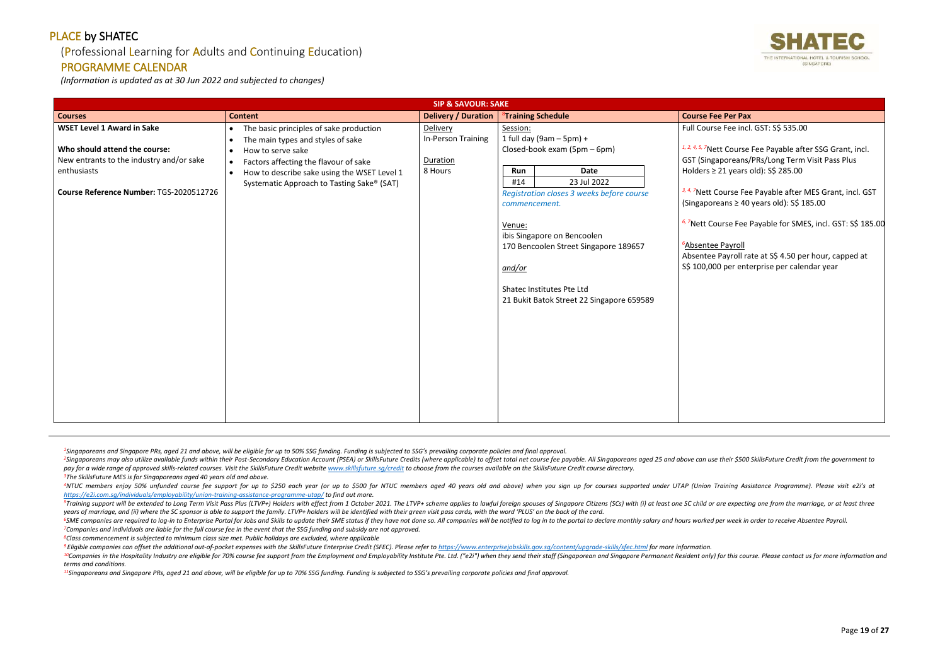## (Professional Learning for Adults and Continuing Education)

#### PROGRAMME CALENDAR

*(Information is updated as at 30 Jun 2022 and subjected to changes)*

<sup>2</sup>Singaporeans may also utilize available funds within their Post-Secondary Education Account (PSEA) or SkillsFuture Credits (where applicable) to offset total net course fee payable. All Singaporeans aged 25 and above ca pay for a wide range of approved skills-related courses. Visit the SkillsFuture Credit website www.skillsfuture.sa/credit to choose from the courses available on the SkillsFuture Credit course directory. *<sup>3</sup>The SkillsFuture MES is for Singaporeans aged 40 years old and above.*

<sup>4</sup>NTUC members enjoy 50% unfunded course fee support for up to \$250 each year (or up to \$500 for NTUC members aged 40 years old and above) when you sign up for courses supported under UTAP (Union Training Assistance Progr *<https://e2i.com.sg/individuals/employability/union-training-assistance-programme-utap/> to find out more.* 

<sup>5</sup>Training support will be extended to Long Term Visit Pass Plus (LTVP+) Holders with effect from 1 October 2021. The LTVP+ scheme applies to lawful foreign spouses of Singapore Citizens (SCs) with (i) at least one SC chi *years of marriage, and (ii) where the SC sponsor is able to support the family. LTVP+ holders will be identified with their green visit pass cards, with the word 'PLUS' on the back of the card.*

<sup>6</sup>SME companies are required to log-in to Enterprise Portal for Jobs and Skills to update their SME status if they have not done so. All companies will be notified to log in to the portal to declare monthly salary and hou *<sup>7</sup>Companies and individuals are liable for the full course fee in the event that the SSG funding and subsidy are not approved.*

<sup>9</sup> Eligible companies can offset the additional out-of-pocket expenses with the SkillsFuture Enterprise Credit (SFEC). Please refer to https://www.enterpriseiobskills.gov.sa/content/uparade-skills/sfec.html for more infor <sup>10</sup>Companies in the Hospitality Industry are eligible for 70% course fee support from the Employment and Employability Institute Pte. Ltd. ("e2i") when they send their staff (Singaporean and Singapore Permanent Resident o *terms and conditions.*

*<sup>8</sup>Class commencement is subjected to minimum class size met. Public holidays are excluded, where applicable*

*<sup>11</sup>Singaporeans and Singapore PRs, aged 21 and above, will be eligible for up to 70% SSG funding. Funding is subjected to SSG's prevailing corporate policies and final approval.*



# se Fee incl. GST: S\$ 535.00 *Ptt Course Fee Payable after SSG Grant, incl.* aporeans/PRs/Long Term Visit Pass Plus 21 years old): S\$ 285.00 Course Fee Payable after MES Grant, incl. GST (Singaporeans ≥ 40 years old): S\$ 185.00 *6, <sup>7</sup>*Nett Course Fee Payable for SMES, incl. GST: S\$ 185.00 **e** Payroll Payroll rate at S\$ 4.50 per hour, capped at 00 per enterprise per calendar year

|                                                                                                                                                                          | <b>SIP &amp; SAVOUR: SAKE</b>                                                                                                                                                                                                                                                                            |                                                       |                                                                                                                                                                                                                                                                                                                                                        |                                                                                                                                                                                                                                                                          |
|--------------------------------------------------------------------------------------------------------------------------------------------------------------------------|----------------------------------------------------------------------------------------------------------------------------------------------------------------------------------------------------------------------------------------------------------------------------------------------------------|-------------------------------------------------------|--------------------------------------------------------------------------------------------------------------------------------------------------------------------------------------------------------------------------------------------------------------------------------------------------------------------------------------------------------|--------------------------------------------------------------------------------------------------------------------------------------------------------------------------------------------------------------------------------------------------------------------------|
| <b>Courses</b>                                                                                                                                                           | <b>Content</b>                                                                                                                                                                                                                                                                                           | <b>Delivery / Duration</b>                            | <sup>8</sup> Training Schedule                                                                                                                                                                                                                                                                                                                         | <b>Course Fee Per Pax</b>                                                                                                                                                                                                                                                |
| <b>WSET Level 1 Award in Sake</b><br>Who should attend the course:<br>New entrants to the industry and/or sake<br>enthusiasts<br>Course Reference Number: TGS-2020512726 | The basic principles of sake production<br>$\bullet$<br>The main types and styles of sake<br>$\bullet$<br>How to serve sake<br>$\bullet$<br>Factors affecting the flavour of sake<br>$\bullet$<br>How to describe sake using the WSET Level 1<br>$\bullet$<br>Systematic Approach to Tasting Sake® (SAT) | Delivery<br>In-Person Training<br>Duration<br>8 Hours | Session:<br>1 full day (9am $-$ 5pm) +<br>Closed-book exam (5pm - 6pm)<br><b>Date</b><br>Run<br>23 Jul 2022<br>#14<br>Registration closes 3 weeks before course<br>commencement.<br>Venue:<br>ibis Singapore on Bencoolen<br>170 Bencoolen Street Singapore 189657<br>and/or<br>Shatec Institutes Pte Ltd<br>21 Bukit Batok Street 22 Singapore 659589 | Full Course Fee incl<br>1, 2, 4, 5, 7Nett Course<br>GST (Singaporeans/<br>Holders $\geq$ 21 years<br>3, 4, 7Nett Course Fee<br>(Singaporeans $\geq 40$<br><sup>6, 7</sup> Nett Course Fee<br><sup>6</sup> Absentee Payroll<br>Absentee Payroll ra<br>S\$ 100,000 per ent |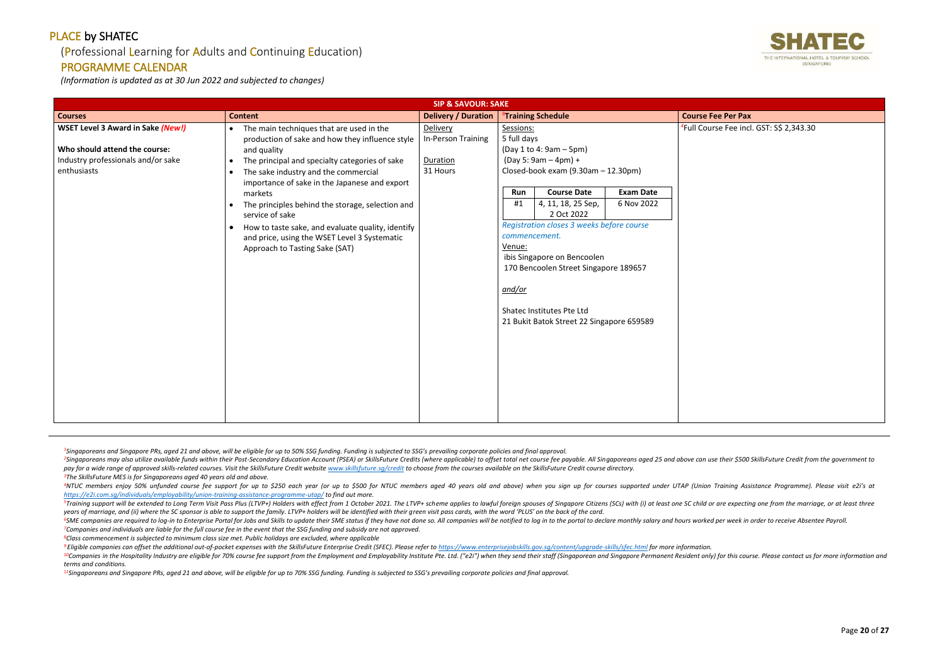#### (Professional Learning for Adults and Continuing Education)

#### PROGRAMME CALENDAR

*(Information is updated as at 30 Jun 2022 and subjected to changes)*

<sup>2</sup>Singaporeans may also utilize available funds within their Post-Secondary Education Account (PSEA) or SkillsFuture Credits (where applicable) to offset total net course fee payable. All Singaporeans aged 25 and above ca pay for a wide range of approved skills-related courses. Visit the SkillsFuture Credit website www.skillsfuture.sa/credit to choose from the courses available on the SkillsFuture Credit course directory. *<sup>3</sup>The SkillsFuture MES is for Singaporeans aged 40 years old and above.*

<sup>4</sup>NTUC members enjoy 50% unfunded course fee support for up to \$250 each year (or up to \$500 for NTUC members aged 40 years old and above) when you sign up for courses supported under UTAP (Union Training Assistance Progr *<https://e2i.com.sg/individuals/employability/union-training-assistance-programme-utap/> to find out more.* 

<sup>5</sup>Training support will be extended to Long Term Visit Pass Plus (LTVP+) Holders with effect from 1 October 2021. The LTVP+ scheme applies to lawful foreign spouses of Singapore Citizens (SCs) with (i) at least one SC chi *years of marriage, and (ii) where the SC sponsor is able to support the family. LTVP+ holders will be identified with their green visit pass cards, with the word 'PLUS' on the back of the card.*

<sup>6</sup>SME companies are required to log-in to Enterprise Portal for Jobs and Skills to update their SME status if they have not done so. All companies will be notified to log in to the portal to declare monthly salary and hou *<sup>7</sup>Companies and individuals are liable for the full course fee in the event that the SSG funding and subsidy are not approved.*

<sup>9</sup> Eligible companies can offset the additional out-of-pocket expenses with the SkillsFuture Enterprise Credit (SFEC). Please refer to https://www.enterpriseiobskills.gov.sa/content/uparade-skills/sfec.html for more infor <sup>10</sup>Companies in the Hospitality Industry are eligible for 70% course fee support from the Employment and Employability Institute Pte. Ltd. ("e2i") when they send their staff (Singaporean and Singapore Permanent Resident o *terms and conditions.*

*<sup>8</sup>Class commencement is subjected to minimum class size met. Public holidays are excluded, where applicable*

*<sup>11</sup>Singaporeans and Singapore PRs, aged 21 and above, will be eligible for up to 70% SSG funding. Funding is subjected to SSG's prevailing corporate policies and final approval.*



rse Fee incl. GST: S\$ 2,343.30

|                                                                                                                                | <b>SIP &amp; SAVOUR: SAKE</b>                                                                                                                                                                                                                                                                                                                                                                                                                                                                                                                   |                                                        |                                                                                                                                                                                                                                                                                                                                                                                                                                                                   |                                  |
|--------------------------------------------------------------------------------------------------------------------------------|-------------------------------------------------------------------------------------------------------------------------------------------------------------------------------------------------------------------------------------------------------------------------------------------------------------------------------------------------------------------------------------------------------------------------------------------------------------------------------------------------------------------------------------------------|--------------------------------------------------------|-------------------------------------------------------------------------------------------------------------------------------------------------------------------------------------------------------------------------------------------------------------------------------------------------------------------------------------------------------------------------------------------------------------------------------------------------------------------|----------------------------------|
| <b>Courses</b>                                                                                                                 | <b>Content</b>                                                                                                                                                                                                                                                                                                                                                                                                                                                                                                                                  | <b>Delivery / Duration</b>                             | <sup>8</sup> Training Schedule                                                                                                                                                                                                                                                                                                                                                                                                                                    | <b>Course Fee Per Pax</b>        |
| <b>WSET Level 3 Award in Sake (New!)</b><br>Who should attend the course:<br>Industry professionals and/or sake<br>enthusiasts | The main techniques that are used in the<br>$\bullet$<br>production of sake and how they influence style<br>and quality<br>The principal and specialty categories of sake<br>$\bullet$<br>The sake industry and the commercial<br>$\bullet$<br>importance of sake in the Japanese and export<br>markets<br>The principles behind the storage, selection and<br>$\bullet$<br>service of sake<br>How to taste sake, and evaluate quality, identify<br>$\bullet$<br>and price, using the WSET Level 3 Systematic<br>Approach to Tasting Sake (SAT) | Delivery<br>In-Person Training<br>Duration<br>31 Hours | Sessions:<br>5 full days<br>(Day 1 to 4: 9am - 5pm)<br>$(Day 5: 9am - 4pm) +$<br>Closed-book exam (9.30am - 12.30pm)<br><b>Course Date</b><br><b>Exam Date</b><br>Run<br>4, 11, 18, 25 Sep,<br>6 Nov 2022<br>#1<br>2 Oct 2022<br>Registration closes 3 weeks before course<br>commencement.<br>Venue:<br>ibis Singapore on Bencoolen<br>170 Bencoolen Street Singapore 189657<br>and/or<br>Shatec Institutes Pte Ltd<br>21 Bukit Batok Street 22 Singapore 659589 | <sup>4</sup> Full Course Fee inc |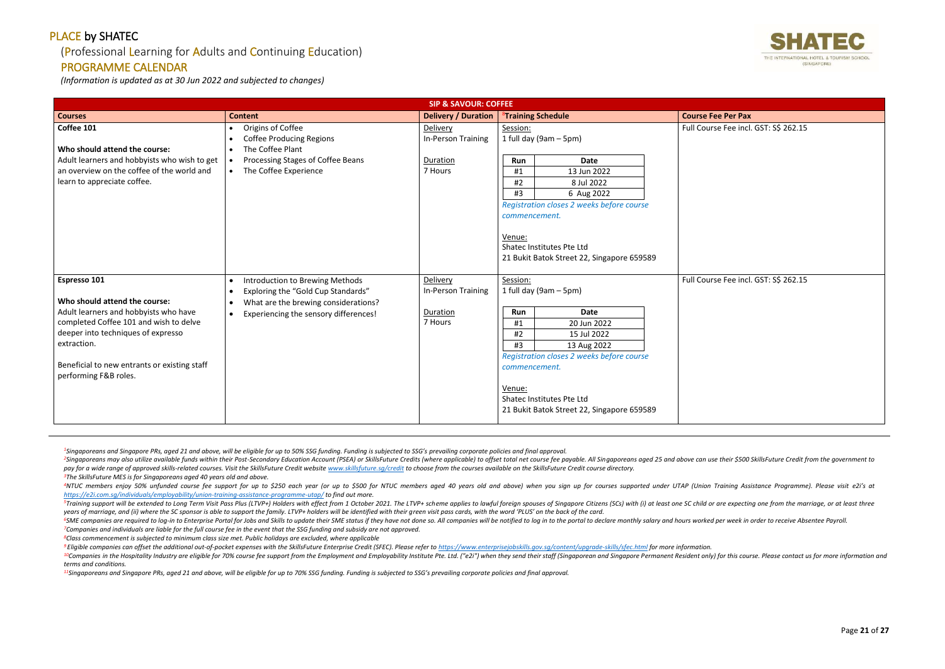## (Professional Learning for Adults and Continuing Education)

#### PROGRAMME CALENDAR

*(Information is updated as at 30 Jun 2022 and subjected to changes)*

<sup>2</sup>Singaporeans may also utilize available funds within their Post-Secondary Education Account (PSEA) or SkillsFuture Credits (where applicable) to offset total net course fee payable. All Singaporeans aged 25 and above ca pay for a wide range of approved skills-related courses. Visit the SkillsFuture Credit website www.skillsfuture.sa/credit to choose from the courses available on the SkillsFuture Credit course directory. *<sup>3</sup>The SkillsFuture MES is for Singaporeans aged 40 years old and above.*

<sup>4</sup>NTUC members enjoy 50% unfunded course fee support for up to \$250 each year (or up to \$500 for NTUC members aged 40 years old and above) when you sign up for courses supported under UTAP (Union Training Assistance Progr *<https://e2i.com.sg/individuals/employability/union-training-assistance-programme-utap/> to find out more.* 

<sup>5</sup>Training support will be extended to Long Term Visit Pass Plus (LTVP+) Holders with effect from 1 October 2021. The LTVP+ scheme applies to lawful foreign spouses of Singapore Citizens (SCs) with (i) at least one SC chi *years of marriage, and (ii) where the SC sponsor is able to support the family. LTVP+ holders will be identified with their green visit pass cards, with the word 'PLUS' on the back of the card.*

<sup>6</sup>SME companies are required to log-in to Enterprise Portal for Jobs and Skills to update their SME status if they have not done so. All companies will be notified to log in to the portal to declare monthly salary and hou *<sup>7</sup>Companies and individuals are liable for the full course fee in the event that the SSG funding and subsidy are not approved.*

<sup>9</sup> Eligible companies can offset the additional out-of-pocket expenses with the SkillsFuture Enterprise Credit (SFEC). Please refer to https://www.enterpriseiobskills.gov.sa/content/uparade-skills/sfec.html for more infor <sup>10</sup>Companies in the Hospitality Industry are eligible for 70% course fee support from the Employment and Employability Institute Pte. Ltd. ("e2i") when they send their staff (Singaporean and Singapore Permanent Resident o *terms and conditions.*

*<sup>8</sup>Class commencement is subjected to minimum class size met. Public holidays are excluded, where applicable*

*<sup>11</sup>Singaporeans and Singapore PRs, aged 21 and above, will be eligible for up to 70% SSG funding. Funding is subjected to SSG's prevailing corporate policies and final approval.*



se Fee incl. GST: S\$ 262.15

se Fee incl. GST: S\$ 262.15

|                                                                                                                                                                                                                                                                | <b>SIP &amp; SAVOUR: COFFEE</b>                                                                                                                                                                            |                                                       |                                                                                                                                                                                                                                                                            |                             |
|----------------------------------------------------------------------------------------------------------------------------------------------------------------------------------------------------------------------------------------------------------------|------------------------------------------------------------------------------------------------------------------------------------------------------------------------------------------------------------|-------------------------------------------------------|----------------------------------------------------------------------------------------------------------------------------------------------------------------------------------------------------------------------------------------------------------------------------|-----------------------------|
| <b>Courses</b>                                                                                                                                                                                                                                                 | <b>Content</b>                                                                                                                                                                                             | <b>Delivery / Duration</b>                            | <sup>8</sup> Training Schedule                                                                                                                                                                                                                                             | <b>Course Fee Per Pax</b>   |
| Coffee 101<br>Who should attend the course:<br>Adult learners and hobbyists who wish to get<br>an overview on the coffee of the world and<br>learn to appreciate coffee.                                                                                       | Origins of Coffee<br>$\bullet$<br><b>Coffee Producing Regions</b><br>The Coffee Plant<br>$\bullet$<br>Processing Stages of Coffee Beans<br>$\bullet$<br>The Coffee Experience                              | Delivery<br>In-Person Training<br>Duration<br>7 Hours | Session:<br>1 full day (9am $-5$ pm)<br>Date<br>Run<br>13 Jun 2022<br>#1<br>#2<br>8 Jul 2022<br>#3<br>6 Aug 2022<br>Registration closes 2 weeks before course<br>commencement.<br>Venue:<br>Shatec Institutes Pte Ltd<br>21 Bukit Batok Street 22, Singapore 659589        | <b>Full Course Fee incl</b> |
| Espresso 101<br>Who should attend the course:<br>Adult learners and hobbyists who have<br>completed Coffee 101 and wish to delve<br>deeper into techniques of expresso<br>extraction.<br>Beneficial to new entrants or existing staff<br>performing F&B roles. | Introduction to Brewing Methods<br>$\bullet$<br>Exploring the "Gold Cup Standards"<br>$\bullet$<br>What are the brewing considerations?<br>$\bullet$<br>Experiencing the sensory differences!<br>$\bullet$ | Delivery<br>In-Person Training<br>Duration<br>7 Hours | Session:<br>1 full day (9am - 5pm)<br><b>Date</b><br>Run<br>20 Jun 2022<br>#1<br>#2<br>15 Jul 2022<br>#3<br>13 Aug 2022<br>Registration closes 2 weeks before course<br>commencement.<br>Venue:<br>Shatec Institutes Pte Ltd<br>21 Bukit Batok Street 22, Singapore 659589 | Full Course Fee incl        |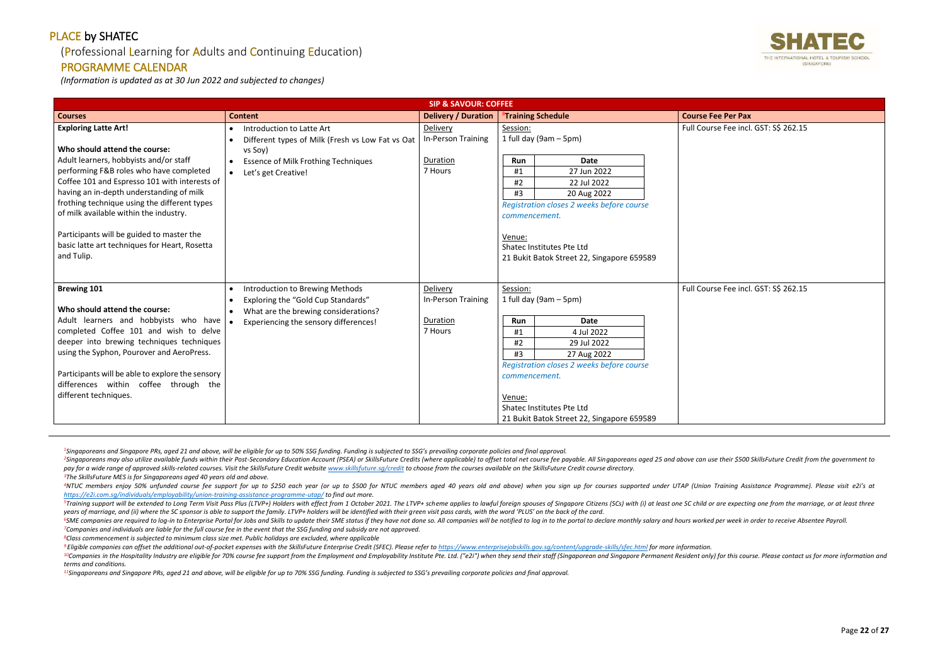## (Professional Learning for Adults and Continuing Education)

## PROGRAMME CALENDAR

*(Information is updated as at 30 Jun 2022 and subjected to changes)*

<sup>2</sup>Singaporeans may also utilize available funds within their Post-Secondary Education Account (PSEA) or SkillsFuture Credits (where applicable) to offset total net course fee payable. All Singaporeans aged 25 and above ca pay for a wide range of approved skills-related courses. Visit the SkillsFuture Credit website www.skillsfuture.sa/credit to choose from the courses available on the SkillsFuture Credit course directory. *<sup>3</sup>The SkillsFuture MES is for Singaporeans aged 40 years old and above.*

<sup>4</sup>NTUC members enjoy 50% unfunded course fee support for up to \$250 each year (or up to \$500 for NTUC members aged 40 years old and above) when you sign up for courses supported under UTAP (Union Training Assistance Progr *<https://e2i.com.sg/individuals/employability/union-training-assistance-programme-utap/> to find out more.* 

<sup>5</sup>Training support will be extended to Long Term Visit Pass Plus (LTVP+) Holders with effect from 1 October 2021. The LTVP+ scheme applies to lawful foreign spouses of Singapore Citizens (SCs) with (i) at least one SC chi *years of marriage, and (ii) where the SC sponsor is able to support the family. LTVP+ holders will be identified with their green visit pass cards, with the word 'PLUS' on the back of the card.*

<sup>6</sup>SME companies are required to log-in to Enterprise Portal for Jobs and Skills to update their SME status if they have not done so. All companies will be notified to log in to the portal to declare monthly salary and hou *<sup>7</sup>Companies and individuals are liable for the full course fee in the event that the SSG funding and subsidy are not approved.*

<sup>9</sup> Eligible companies can offset the additional out-of-pocket expenses with the SkillsFuture Enterprise Credit (SFEC). Please refer to https://www.enterpriseiobskills.gov.sa/content/uparade-skills/sfec.html for more infor <sup>10</sup>Companies in the Hospitality Industry are eligible for 70% course fee support from the Employment and Employability Institute Pte. Ltd. ("e2i") when they send their staff (Singaporean and Singapore Permanent Resident o *terms and conditions.*

*<sup>8</sup>Class commencement is subjected to minimum class size met. Public holidays are excluded, where applicable*

*<sup>11</sup>Singaporeans and Singapore PRs, aged 21 and above, will be eligible for up to 70% SSG funding. Funding is subjected to SSG's prevailing corporate policies and final approval.*



rse Fee incl. GST: S\$ 262.15

rse Fee incl. GST: S\$ 262.15

Page **22** of **27**

|                                                                                                                                                                                                                                                                                                                                                                                                                                                      |                                                                                                                                                                                  | <b>SIP &amp; SAVOUR: COFFEE</b>                              |                                                                                                                                                                                                                                                                                   |                             |
|------------------------------------------------------------------------------------------------------------------------------------------------------------------------------------------------------------------------------------------------------------------------------------------------------------------------------------------------------------------------------------------------------------------------------------------------------|----------------------------------------------------------------------------------------------------------------------------------------------------------------------------------|--------------------------------------------------------------|-----------------------------------------------------------------------------------------------------------------------------------------------------------------------------------------------------------------------------------------------------------------------------------|-----------------------------|
| <b>Courses</b>                                                                                                                                                                                                                                                                                                                                                                                                                                       | <b>Delivery / Duration</b><br><b>Content</b>                                                                                                                                     |                                                              | <sup>8</sup> Training Schedule                                                                                                                                                                                                                                                    | <b>Course Fee Per Pax</b>   |
| <b>Exploring Latte Art!</b><br>Who should attend the course:<br>Adult learners, hobbyists and/or staff<br>performing F&B roles who have completed<br>Coffee 101 and Espresso 101 with interests of<br>having an in-depth understanding of milk<br>frothing technique using the different types<br>of milk available within the industry.<br>Participants will be guided to master the<br>basic latte art techniques for Heart, Rosetta<br>and Tulip. | Introduction to Latte Art<br>$\bullet$<br>Different types of Milk (Fresh vs Low Fat vs Oat<br>vs Soy)<br><b>Essence of Milk Frothing Techniques</b><br>Let's get Creative!       | Delivery<br>In-Person Training<br>Duration<br>7 Hours        | Session:<br>1 full day (9am - 5pm)<br><b>Date</b><br><b>Run</b><br>27 Jun 2022<br>#1<br>#2<br>22 Jul 2022<br>#3<br>20 Aug 2022<br>Registration closes 2 weeks before course<br>commencement.<br>Venue:<br>Shatec Institutes Pte Ltd<br>21 Bukit Batok Street 22, Singapore 659589 | <b>Full Course Fee incl</b> |
| <b>Brewing 101</b><br>Who should attend the course:<br>Adult learners and hobbyists who have<br>completed Coffee 101 and wish to delve<br>deeper into brewing techniques techniques<br>using the Syphon, Pourover and AeroPress.<br>Participants will be able to explore the sensory<br>differences within coffee through the<br>different techniques.                                                                                               | Introduction to Brewing Methods<br>$\bullet$<br>Exploring the "Gold Cup Standards"<br>What are the brewing considerations?<br>Experiencing the sensory differences!<br>$\bullet$ | Delivery<br><b>In-Person Training</b><br>Duration<br>7 Hours | Session:<br>1 full day (9am $-5$ pm)<br><b>Date</b><br>Run<br>4 Jul 2022<br>#1<br>29 Jul 2022<br>#2<br>#3<br>27 Aug 2022<br>Registration closes 2 weeks before course<br>commencement.<br>Venue:<br>Shatec Institutes Pte Ltd<br>21 Bukit Batok Street 22, Singapore 659589       | <b>Full Course Fee incl</b> |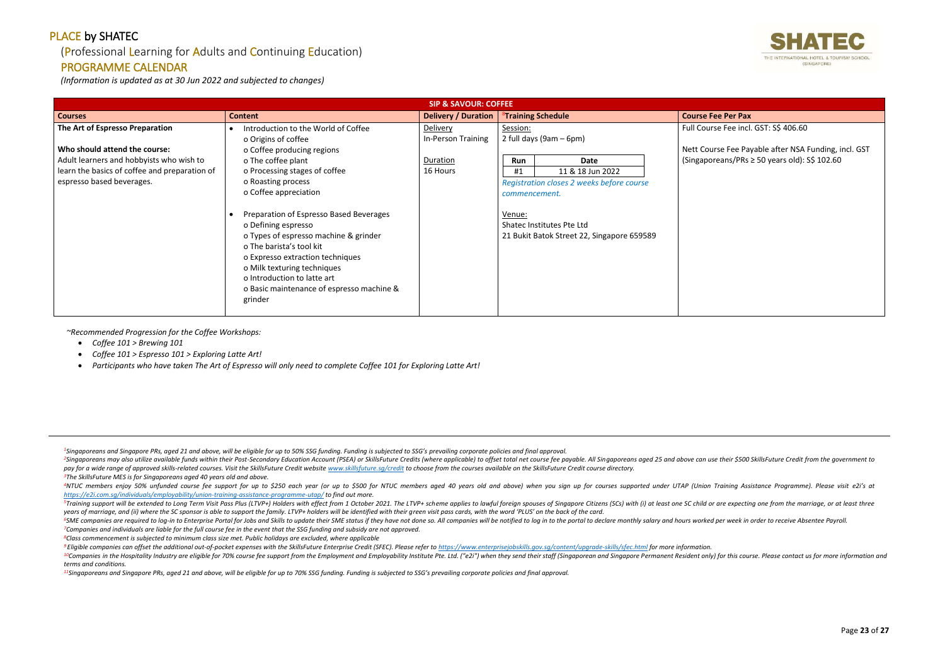## (Professional Learning for Adults and Continuing Education)

#### PROGRAMME CALENDAR

*(Information is updated as at 30 Jun 2022 and subjected to changes)*

<sup>2</sup>Singaporeans may also utilize available funds within their Post-Secondary Education Account (PSEA) or SkillsFuture Credits (where applicable) to offset total net course fee payable. All Singaporeans aged 25 and above ca pay for a wide range of approved skills-related courses. Visit the SkillsFuture Credit website www.skillsfuture.sa/credit to choose from the courses available on the SkillsFuture Credit course directory. *<sup>3</sup>The SkillsFuture MES is for Singaporeans aged 40 years old and above.*

<sup>5</sup>Training support will be extended to Long Term Visit Pass Plus (LTVP+) Holders with effect from 1 October 2021. The LTVP+ scheme applies to lawful foreign spouses of Singapore Citizens (SCs) with (i) at least one SC chi *years of marriage, and (ii) where the SC sponsor is able to support the family. LTVP+ holders will be identified with their green visit pass cards, with the word 'PLUS' on the back of the card.*

<sup>6</sup>SME companies are required to log-in to Enterprise Portal for Jobs and Skills to update their SME status if they have not done so. All companies will be notified to log in to the portal to declare monthly salary and hou *<sup>7</sup>Companies and individuals are liable for the full course fee in the event that the SSG funding and subsidy are not approved.*

rse Fee Payable after NSA Funding, incl. GST (Singaporeans/PRs ≥ 50 years old): S\$ 102.60

*<sup>8</sup>Class commencement is subjected to minimum class size met. Public holidays are excluded, where applicable*

*<sup>11</sup>Singaporeans and Singapore PRs, aged 21 and above, will be eligible for up to 70% SSG funding. Funding is subjected to SSG's prevailing corporate policies and final approval.*



se Fee incl. GST: S\$ 406.60

Page **23** of **27**

|                                                                                                                                                                                            | <b>SIP &amp; SAVOUR: COFFEE</b>                                                                                                                                                                                                                                                                                                                                                                                                                                                                 |                                                        |                                                                                                                                                                                                                                 |                                                                 |
|--------------------------------------------------------------------------------------------------------------------------------------------------------------------------------------------|-------------------------------------------------------------------------------------------------------------------------------------------------------------------------------------------------------------------------------------------------------------------------------------------------------------------------------------------------------------------------------------------------------------------------------------------------------------------------------------------------|--------------------------------------------------------|---------------------------------------------------------------------------------------------------------------------------------------------------------------------------------------------------------------------------------|-----------------------------------------------------------------|
| <b>Courses</b>                                                                                                                                                                             | <b>Content</b>                                                                                                                                                                                                                                                                                                                                                                                                                                                                                  | <b>Delivery / Duration</b>                             | <sup>8</sup> Training Schedule                                                                                                                                                                                                  | <b>Course Fee Per Pax</b>                                       |
| The Art of Espresso Preparation<br>Who should attend the course:<br>Adult learners and hobbyists who wish to<br>learn the basics of coffee and preparation of<br>espresso based beverages. | Introduction to the World of Coffee<br>o Origins of coffee<br>o Coffee producing regions<br>o The coffee plant<br>o Processing stages of coffee<br>o Roasting process<br>o Coffee appreciation<br>Preparation of Espresso Based Beverages<br>o Defining espresso<br>o Types of espresso machine & grinder<br>o The barista's tool kit<br>o Expresso extraction techniques<br>o Milk texturing techniques<br>o Introduction to latte art<br>o Basic maintenance of espresso machine &<br>grinder | Delivery<br>In-Person Training<br>Duration<br>16 Hours | Session:<br>2 full days (9am - 6pm)<br>Run<br>Date<br>11 & 18 Jun 2022<br>#1<br>Registration closes 2 weeks before course<br>commencement.<br>Venue:<br>Shatec Institutes Pte Ltd<br>21 Bukit Batok Street 22, Singapore 659589 | Full Course Fee incl<br>Nett Course Fee Pa<br>(Singaporeans/PRs |

*~Recommended Progression for the Coffee Workshops:*

- *Coffee 101 > Brewing 101*
- *Coffee 101 > Espresso 101 > Exploring Latte Art!*
- *Participants who have taken The Art of Espresso will only need to complete Coffee 101 for Exploring Latte Art!*

<sup>&</sup>lt;sup>4</sup>NTUC members enjoy 50% unfunded course fee support for up to \$250 each year (or up to \$500 for NTUC members aged 40 years old and above) when you sign up for courses supported under UTAP (Union Training Assistance Progr *<https://e2i.com.sg/individuals/employability/union-training-assistance-programme-utap/> to find out more.* 

<sup>&</sup>lt;sup>9</sup> Eligible companies can offset the additional out-of-pocket expenses with the SkillsFuture Enterprise Credit (SFEC). Please refer to https://www.enterpriseiobskills.gov.sa/content/uparade-skills/sfec.html for more infor <sup>10</sup>Companies in the Hospitality Industry are eligible for 70% course fee support from the Employment and Employability Institute Pte. Ltd. ("e2i") when they send their staff (Singaporean and Singapore Permanent Resident o *terms and conditions.*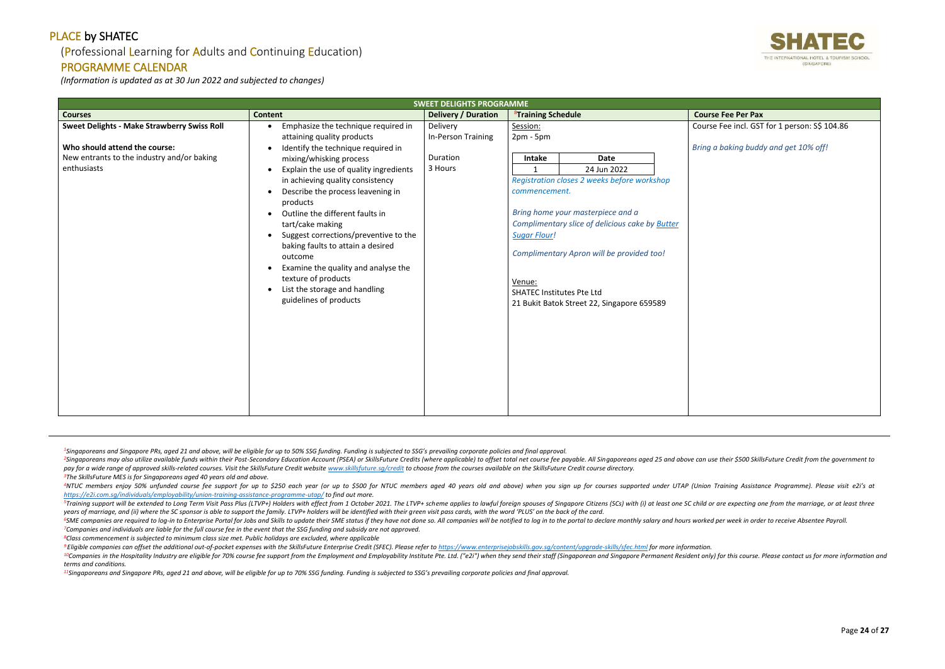## (Professional Learning for Adults and Continuing Education)

#### PROGRAMME CALENDAR

*(Information is updated as at 30 Jun 2022 and subjected to changes)*

<sup>2</sup>Singaporeans may also utilize available funds within their Post-Secondary Education Account (PSEA) or SkillsFuture Credits (where applicable) to offset total net course fee payable. All Singaporeans aged 25 and above ca pay for a wide range of approved skills-related courses. Visit the SkillsFuture Credit website www.skillsfuture.sa/credit to choose from the courses available on the SkillsFuture Credit course directory. *<sup>3</sup>The SkillsFuture MES is for Singaporeans aged 40 years old and above.*

<sup>4</sup>NTUC members enjoy 50% unfunded course fee support for up to \$250 each year (or up to \$500 for NTUC members aged 40 years old and above) when you sign up for courses supported under UTAP (Union Training Assistance Progr *<https://e2i.com.sg/individuals/employability/union-training-assistance-programme-utap/> to find out more.* 

<sup>5</sup>Training support will be extended to Long Term Visit Pass Plus (LTVP+) Holders with effect from 1 October 2021. The LTVP+ scheme applies to lawful foreign spouses of Singapore Citizens (SCs) with (i) at least one SC chi *years of marriage, and (ii) where the SC sponsor is able to support the family. LTVP+ holders will be identified with their green visit pass cards, with the word 'PLUS' on the back of the card.*

<sup>6</sup>SME companies are required to log-in to Enterprise Portal for Jobs and Skills to update their SME status if they have not done so. All companies will be notified to log in to the portal to declare monthly salary and hou *<sup>7</sup>Companies and individuals are liable for the full course fee in the event that the SSG funding and subsidy are not approved.*

<sup>9</sup> Eligible companies can offset the additional out-of-pocket expenses with the SkillsFuture Enterprise Credit (SFEC). Please refer to https://www.enterpriseiobskills.gov.sa/content/uparade-skills/sfec.html for more infor <sup>10</sup>Companies in the Hospitality Industry are eligible for 70% course fee support from the Employment and Employability Institute Pte. Ltd. ("e2i") when they send their staff (Singaporean and Singapore Permanent Resident o *terms and conditions.*

*<sup>8</sup>Class commencement is subjected to minimum class size met. Public holidays are excluded, where applicable*

*<sup>11</sup>Singaporeans and Singapore PRs, aged 21 and above, will be eligible for up to 70% SSG funding. Funding is subjected to SSG's prevailing corporate policies and final approval.*



e Fee incl. GST for 1 person: S\$ 104.86

|                                                                                                                                                  |                                                                                                                                                                                                                                                                                                                                                                                                                                                                                                                                                                                                                          | <b>SWEET DELIGHTS PROGRAMME</b>                       |                                                                                                                                         |                                                                                                                                                                                                                                                              |                                             |
|--------------------------------------------------------------------------------------------------------------------------------------------------|--------------------------------------------------------------------------------------------------------------------------------------------------------------------------------------------------------------------------------------------------------------------------------------------------------------------------------------------------------------------------------------------------------------------------------------------------------------------------------------------------------------------------------------------------------------------------------------------------------------------------|-------------------------------------------------------|-----------------------------------------------------------------------------------------------------------------------------------------|--------------------------------------------------------------------------------------------------------------------------------------------------------------------------------------------------------------------------------------------------------------|---------------------------------------------|
| <b>Courses</b>                                                                                                                                   | <b>Content</b>                                                                                                                                                                                                                                                                                                                                                                                                                                                                                                                                                                                                           | <b>Delivery / Duration</b>                            | <sup>8</sup> Training Schedule                                                                                                          |                                                                                                                                                                                                                                                              | <b>Course Fee Per Pax</b>                   |
| <b>Sweet Delights - Make Strawberry Swiss Roll</b><br>Who should attend the course:<br>New entrants to the industry and/or baking<br>enthusiasts | Emphasize the technique required in<br>attaining quality products<br>Identify the technique required in<br>mixing/whisking process<br>Explain the use of quality ingredients<br>$\bullet$<br>in achieving quality consistency<br>Describe the process leavening in<br>$\bullet$<br>products<br>Outline the different faults in<br>$\bullet$<br>tart/cake making<br>Suggest corrections/preventive to the<br>$\bullet$<br>baking faults to attain a desired<br>outcome<br>Examine the quality and analyse the<br>$\bullet$<br>texture of products<br>List the storage and handling<br>$\bullet$<br>guidelines of products | Delivery<br>In-Person Training<br>Duration<br>3 Hours | Session:<br>$2pm - 5pm$<br>Intake<br>$\mathbf{1}$<br>commencement.<br><b>Sugar Flour!</b><br>Venue:<br><b>SHATEC Institutes Pte Ltd</b> | <b>Date</b><br>24 Jun 2022<br>Registration closes 2 weeks before workshop<br>Bring home your masterpiece and a<br>Complimentary slice of delicious cake by Butter<br>Complimentary Apron will be provided too!<br>21 Bukit Batok Street 22, Singapore 659589 | Course Fee incl. GST<br>Bring a baking buda |
|                                                                                                                                                  |                                                                                                                                                                                                                                                                                                                                                                                                                                                                                                                                                                                                                          |                                                       |                                                                                                                                         |                                                                                                                                                                                                                                                              |                                             |

<sup>1</sup>Singaporeans and Singapore PRs, aged 21 and above, will be eligible for up to 50% SSG funding. Funding is subjected to SSG's prevailing corporate policies and final approval.

*Bring a baking buddy and get 10% off!*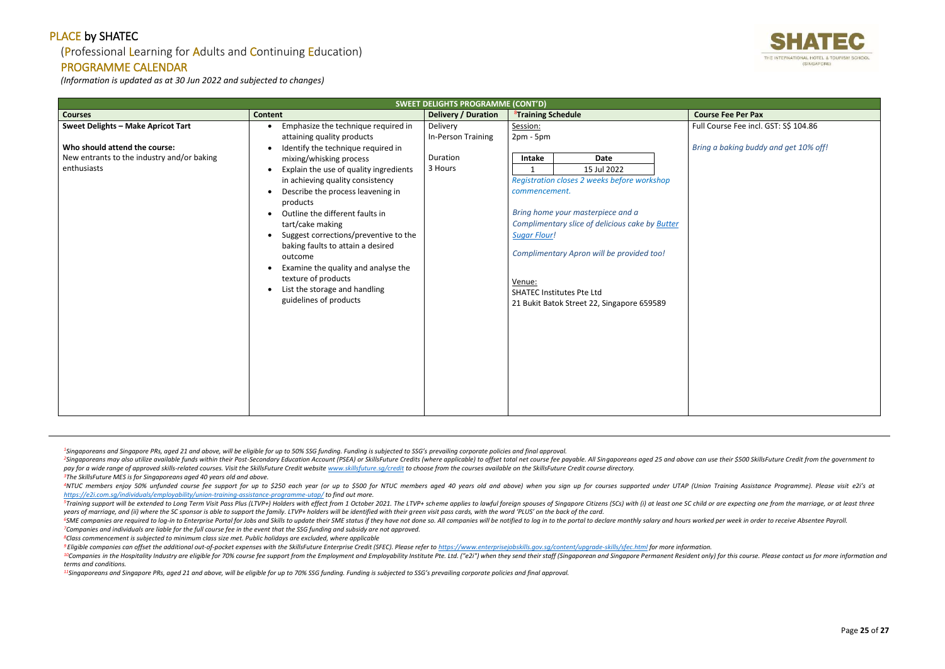## (Professional Learning for Adults and Continuing Education)

#### PROGRAMME CALENDAR

*(Information is updated as at 30 Jun 2022 and subjected to changes)*

<sup>2</sup>Singaporeans may also utilize available funds within their Post-Secondary Education Account (PSEA) or SkillsFuture Credits (where applicable) to offset total net course fee payable. All Singaporeans aged 25 and above ca pay for a wide range of approved skills-related courses. Visit the SkillsFuture Credit website www.skillsfuture.sa/credit to choose from the courses available on the SkillsFuture Credit course directory. *<sup>3</sup>The SkillsFuture MES is for Singaporeans aged 40 years old and above.*

<sup>4</sup>NTUC members enjoy 50% unfunded course fee support for up to \$250 each year (or up to \$500 for NTUC members aged 40 years old and above) when you sign up for courses supported under UTAP (Union Training Assistance Progr *<https://e2i.com.sg/individuals/employability/union-training-assistance-programme-utap/> to find out more.* 

<sup>5</sup>Training support will be extended to Long Term Visit Pass Plus (LTVP+) Holders with effect from 1 October 2021. The LTVP+ scheme applies to lawful foreign spouses of Singapore Citizens (SCs) with (i) at least one SC chi *years of marriage, and (ii) where the SC sponsor is able to support the family. LTVP+ holders will be identified with their green visit pass cards, with the word 'PLUS' on the back of the card.*

<sup>6</sup>SME companies are required to log-in to Enterprise Portal for Jobs and Skills to update their SME status if they have not done so. All companies will be notified to log in to the portal to declare monthly salary and hou *<sup>7</sup>Companies and individuals are liable for the full course fee in the event that the SSG funding and subsidy are not approved.*

<sup>9</sup> Eligible companies can offset the additional out-of-pocket expenses with the SkillsFuture Enterprise Credit (SFEC). Please refer to https://www.enterpriseiobskills.gov.sa/content/uparade-skills/sfec.html for more infor <sup>10</sup>Companies in the Hospitality Industry are eligible for 70% course fee support from the Employment and Employability Institute Pte. Ltd. ("e2i") when they send their staff (Singaporean and Singapore Permanent Resident o *terms and conditions.*

*<sup>8</sup>Class commencement is subjected to minimum class size met. Public holidays are excluded, where applicable*

*<sup>11</sup>Singaporeans and Singapore PRs, aged 21 and above, will be eligible for up to 70% SSG funding. Funding is subjected to SSG's prevailing corporate policies and final approval.*



ourse Fee incl. GST: S\$ 104.86

Page **25** of **27**

| <b>SWEET DELIGHTS PROGRAMME (CONT'D)</b>                                                                                                |                                                                                                                                                                                                                                                                                                                                                                                                                                                                                                                                                                                                                          |                                                       |                                                                                                                                                                                                                                                                                                                                                                                       |                                              |  |  |  |  |  |  |
|-----------------------------------------------------------------------------------------------------------------------------------------|--------------------------------------------------------------------------------------------------------------------------------------------------------------------------------------------------------------------------------------------------------------------------------------------------------------------------------------------------------------------------------------------------------------------------------------------------------------------------------------------------------------------------------------------------------------------------------------------------------------------------|-------------------------------------------------------|---------------------------------------------------------------------------------------------------------------------------------------------------------------------------------------------------------------------------------------------------------------------------------------------------------------------------------------------------------------------------------------|----------------------------------------------|--|--|--|--|--|--|
| <b>Courses</b>                                                                                                                          | <b>Content</b>                                                                                                                                                                                                                                                                                                                                                                                                                                                                                                                                                                                                           | <b>Delivery / Duration</b>                            | <sup>8</sup> Training Schedule                                                                                                                                                                                                                                                                                                                                                        | <b>Course Fee Per Pax</b>                    |  |  |  |  |  |  |
| <b>Sweet Delights - Make Apricot Tart</b><br>Who should attend the course:<br>New entrants to the industry and/or baking<br>enthusiasts | Emphasize the technique required in<br>attaining quality products<br>Identify the technique required in<br>mixing/whisking process<br>Explain the use of quality ingredients<br>$\bullet$<br>in achieving quality consistency<br>Describe the process leavening in<br>$\bullet$<br>products<br>Outline the different faults in<br>$\bullet$<br>tart/cake making<br>Suggest corrections/preventive to the<br>$\bullet$<br>baking faults to attain a desired<br>outcome<br>Examine the quality and analyse the<br>$\bullet$<br>texture of products<br>List the storage and handling<br>$\bullet$<br>guidelines of products | Delivery<br>In-Person Training<br>Duration<br>3 Hours | Session:<br>$2pm - 5pm$<br>Intake<br>Date<br>15 Jul 2022<br>1<br>Registration closes 2 weeks before workshop<br>commencement.<br>Bring home your masterpiece and a<br>Complimentary slice of delicious cake by Butter<br><b>Sugar Flour!</b><br>Complimentary Apron will be provided too!<br>Venue:<br><b>SHATEC Institutes Pte Ltd</b><br>21 Bukit Batok Street 22, Singapore 659589 | Full Course Fee incl.<br>Bring a baking buda |  |  |  |  |  |  |
|                                                                                                                                         |                                                                                                                                                                                                                                                                                                                                                                                                                                                                                                                                                                                                                          |                                                       |                                                                                                                                                                                                                                                                                                                                                                                       |                                              |  |  |  |  |  |  |

<sup>1</sup>Singaporeans and Singapore PRs, aged 21 and above, will be eligible for up to 50% SSG funding. Funding is subjected to SSG's prevailing corporate policies and final approval.

*Bring a baking buddy and get 10% off!*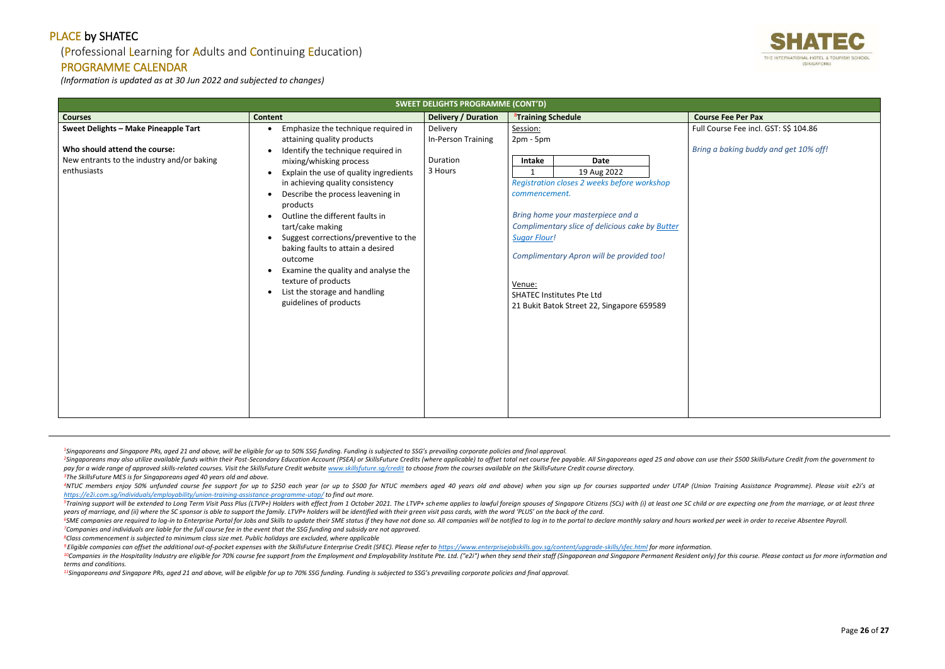## (Professional Learning for Adults and Continuing Education)

#### PROGRAMME CALENDAR

*(Information is updated as at 30 Jun 2022 and subjected to changes)*

<sup>2</sup>Singaporeans may also utilize available funds within their Post-Secondary Education Account (PSEA) or SkillsFuture Credits (where applicable) to offset total net course fee payable. All Singaporeans aged 25 and above ca pay for a wide range of approved skills-related courses. Visit the SkillsFuture Credit website www.skillsfuture.sa/credit to choose from the courses available on the SkillsFuture Credit course directory. *<sup>3</sup>The SkillsFuture MES is for Singaporeans aged 40 years old and above.*

<sup>4</sup>NTUC members enjoy 50% unfunded course fee support for up to \$250 each year (or up to \$500 for NTUC members aged 40 years old and above) when you sign up for courses supported under UTAP (Union Training Assistance Progr *<https://e2i.com.sg/individuals/employability/union-training-assistance-programme-utap/> to find out more.* 

<sup>5</sup>Training support will be extended to Long Term Visit Pass Plus (LTVP+) Holders with effect from 1 October 2021. The LTVP+ scheme applies to lawful foreign spouses of Singapore Citizens (SCs) with (i) at least one SC chi *years of marriage, and (ii) where the SC sponsor is able to support the family. LTVP+ holders will be identified with their green visit pass cards, with the word 'PLUS' on the back of the card.*

<sup>6</sup>SME companies are required to log-in to Enterprise Portal for Jobs and Skills to update their SME status if they have not done so. All companies will be notified to log in to the portal to declare monthly salary and hou *<sup>7</sup>Companies and individuals are liable for the full course fee in the event that the SSG funding and subsidy are not approved.*

<sup>9</sup> Eligible companies can offset the additional out-of-pocket expenses with the SkillsFuture Enterprise Credit (SFEC). Please refer to https://www.enterpriseiobskills.gov.sa/content/uparade-skills/sfec.html for more infor <sup>10</sup>Companies in the Hospitality Industry are eligible for 70% course fee support from the Employment and Employability Institute Pte. Ltd. ("e2i") when they send their staff (Singaporean and Singapore Permanent Resident o *terms and conditions.*

*<sup>8</sup>Class commencement is subjected to minimum class size met. Public holidays are excluded, where applicable*

*<sup>11</sup>Singaporeans and Singapore PRs, aged 21 and above, will be eligible for up to 70% SSG funding. Funding is subjected to SSG's prevailing corporate policies and final approval.*



ourse Fee incl. GST: S\$ 104.86

Page **26** of **27**

|                                                                                                                                    | <b>SWEET DELIGHTS PROGRAMME (CONT'D)</b>                                                                                                                                                                                                                                                                                                                                                                                                                                                                                                                                                                                                           |                                                       |                                                                                                                              |                                                                                                                                                                                                                                                              |  |                                                                           |  |  |
|------------------------------------------------------------------------------------------------------------------------------------|----------------------------------------------------------------------------------------------------------------------------------------------------------------------------------------------------------------------------------------------------------------------------------------------------------------------------------------------------------------------------------------------------------------------------------------------------------------------------------------------------------------------------------------------------------------------------------------------------------------------------------------------------|-------------------------------------------------------|------------------------------------------------------------------------------------------------------------------------------|--------------------------------------------------------------------------------------------------------------------------------------------------------------------------------------------------------------------------------------------------------------|--|---------------------------------------------------------------------------|--|--|
| <b>Courses</b>                                                                                                                     | <b>Content</b>                                                                                                                                                                                                                                                                                                                                                                                                                                                                                                                                                                                                                                     | <b>Delivery / Duration</b>                            | <sup>8</sup> Training Schedule                                                                                               |                                                                                                                                                                                                                                                              |  |                                                                           |  |  |
| Sweet Delights - Make Pineapple Tart<br>Who should attend the course:<br>New entrants to the industry and/or baking<br>enthusiasts | Emphasize the technique required in<br>$\bullet$<br>attaining quality products<br>Identify the technique required in<br>$\bullet$<br>mixing/whisking process<br>Explain the use of quality ingredients<br>$\bullet$<br>in achieving quality consistency<br>Describe the process leavening in<br>$\bullet$<br>products<br>Outline the different faults in<br>$\bullet$<br>tart/cake making<br>Suggest corrections/preventive to the<br>$\bullet$<br>baking faults to attain a desired<br>outcome<br>Examine the quality and analyse the<br>$\bullet$<br>texture of products<br>List the storage and handling<br>$\bullet$<br>guidelines of products | Delivery<br>In-Person Training<br>Duration<br>3 Hours | Session:<br>$2pm - 5pm$<br>Intake<br>1<br>commencement.<br><b>Sugar Flour!</b><br>Venue:<br><b>SHATEC Institutes Pte Ltd</b> | <b>Date</b><br>19 Aug 2022<br>Registration closes 2 weeks before workshop<br>Bring home your masterpiece and a<br>Complimentary slice of delicious cake by Butter<br>Complimentary Apron will be provided too!<br>21 Bukit Batok Street 22, Singapore 659589 |  | <b>Course Fee Per Pax</b><br>Full Course Fee incl.<br>Bring a baking buda |  |  |
|                                                                                                                                    |                                                                                                                                                                                                                                                                                                                                                                                                                                                                                                                                                                                                                                                    |                                                       |                                                                                                                              |                                                                                                                                                                                                                                                              |  |                                                                           |  |  |

<sup>1</sup>Singaporeans and Singapore PRs, aged 21 and above, will be eligible for up to 50% SSG funding. Funding is subjected to SSG's prevailing corporate policies and final approval.

*Bring a baking buddy and get 10% off!*